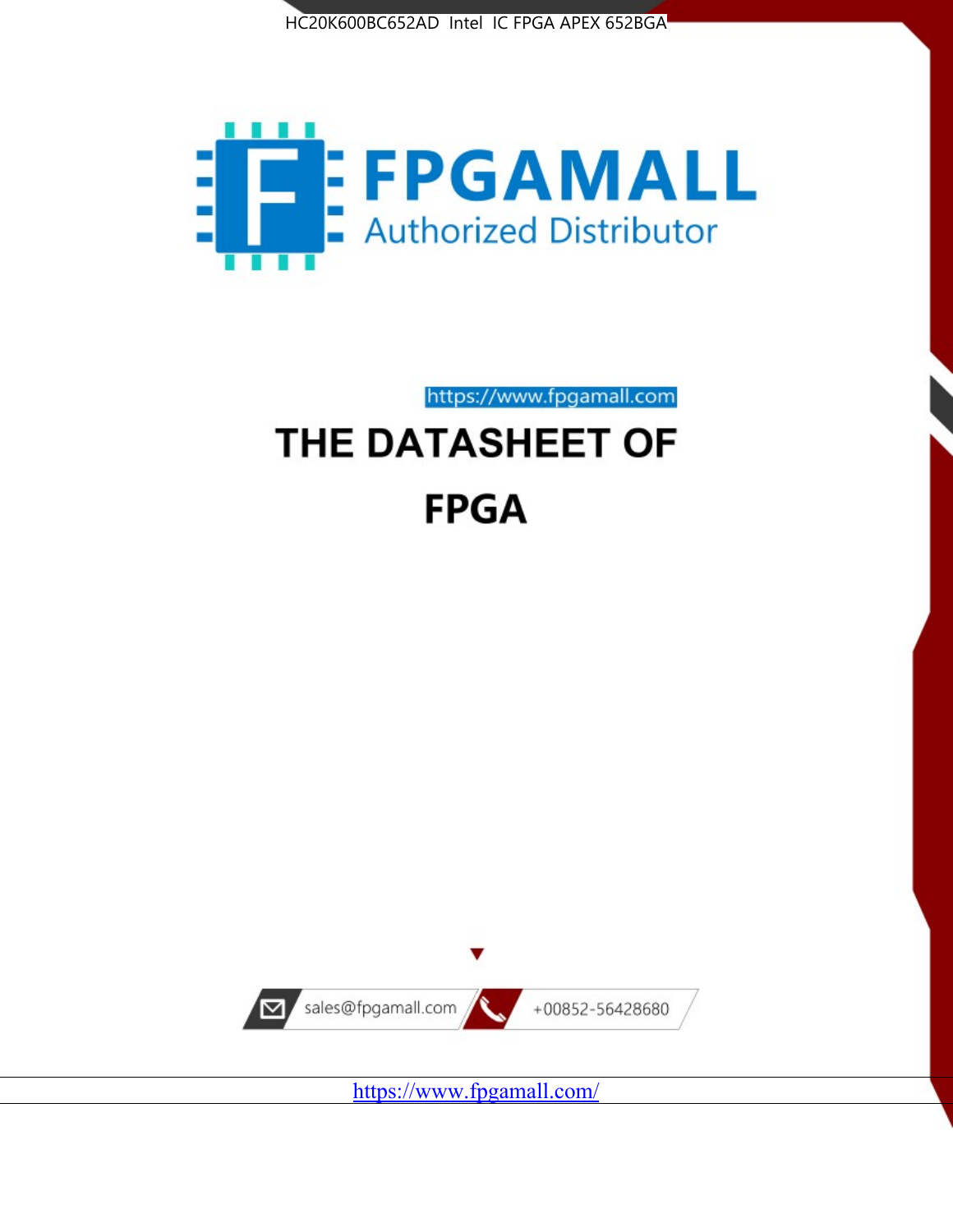



https://www.fpgamall.com THE DATASHEET OF

# **FPGA**



<https://www.fpgamall.com/>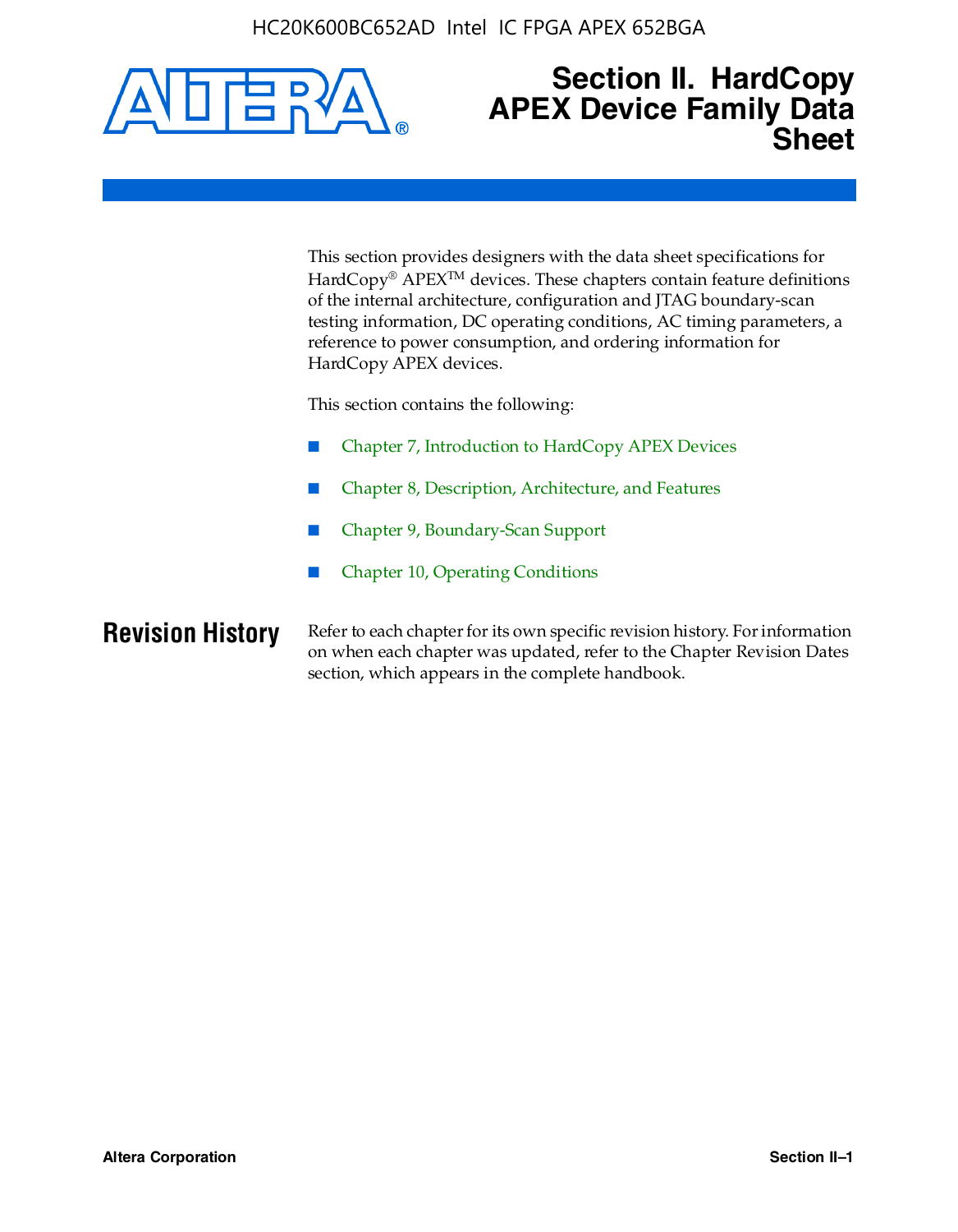

## **Section II. HardCopy APEX Device Family Data Sheet**

This section provides designers with the data sheet specifications for HardCopy<sup>®</sup> APEX<sup>™</sup> devices. These chapters contain feature definitions of the internal architecture, configuration and JTAG boundary-scan testing information, DC operating conditions, AC timing parameters, a reference to power consumption, and ordering information for HardCopy APEX devices.

This section contains the following:

- Chapter 7, Introduction to HardCopy APEX Devices
- Chapter 8, Description, Architecture, and Features
- Chapter 9, Boundary-Scan Support
- Chapter 10, Operating Conditions

**Revision History** Refer to each chapter for its own specific revision history. For information on when each chapter was updated, refer to the Chapter Revision Dates section, which appears in the complete handbook.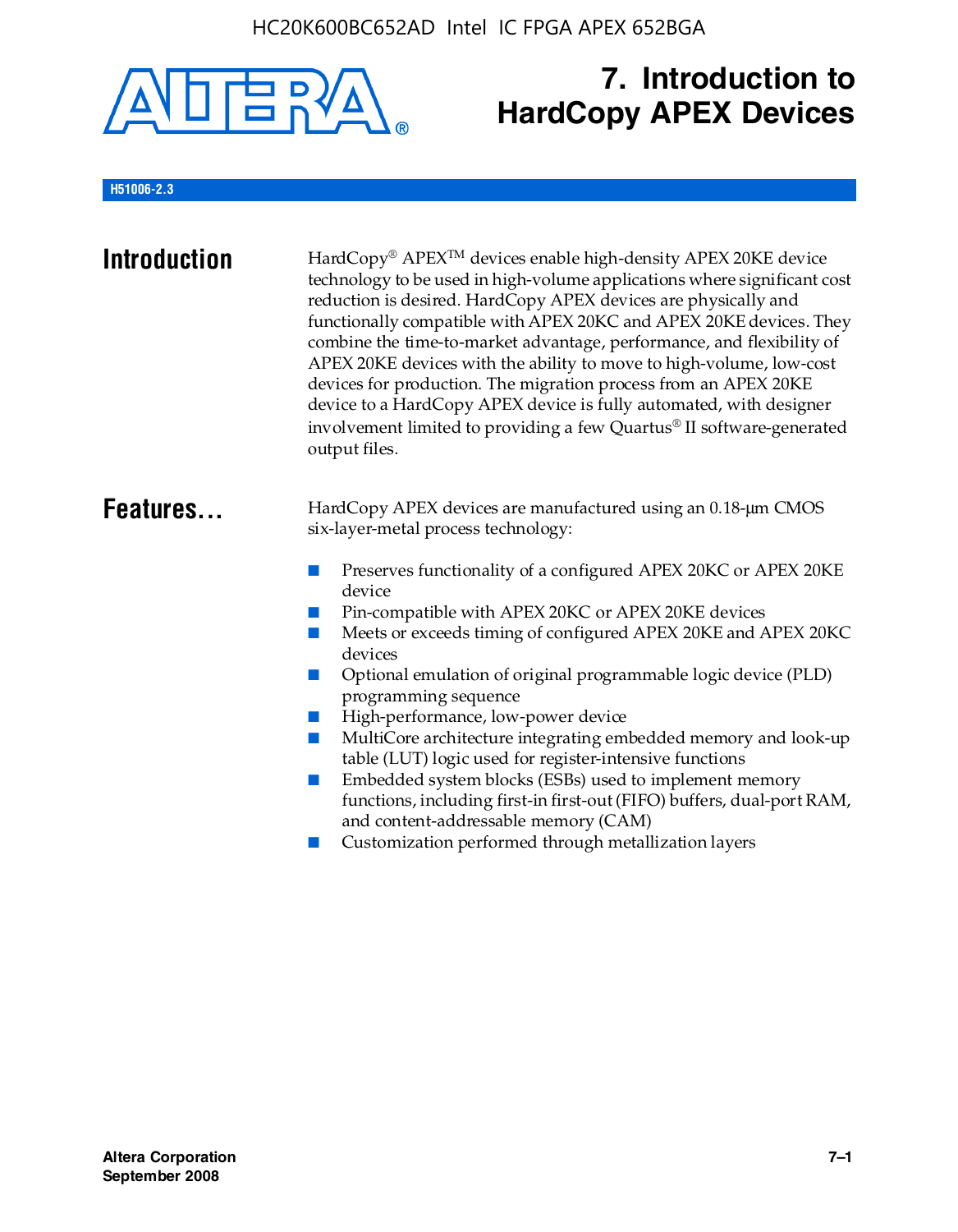

# **7. Introduction to HardCopy APEX Devices**

#### **H51006-2.3**

| <b>Introduction</b> | HardCopy® APEX™ devices enable high-density APEX 20KE device<br>technology to be used in high-volume applications where significant cost<br>reduction is desired. HardCopy APEX devices are physically and<br>functionally compatible with APEX 20KC and APEX 20KE devices. They<br>combine the time-to-market advantage, performance, and flexibility of<br>APEX 20KE devices with the ability to move to high-volume, low-cost<br>devices for production. The migration process from an APEX 20KE<br>device to a HardCopy APEX device is fully automated, with designer<br>involvement limited to providing a few Quartus® II software-generated<br>output files.                                                                                                                                                |
|---------------------|--------------------------------------------------------------------------------------------------------------------------------------------------------------------------------------------------------------------------------------------------------------------------------------------------------------------------------------------------------------------------------------------------------------------------------------------------------------------------------------------------------------------------------------------------------------------------------------------------------------------------------------------------------------------------------------------------------------------------------------------------------------------------------------------------------------------|
| Features            | HardCopy APEX devices are manufactured using an 0.18-um CMOS<br>six-layer-metal process technology:<br>Preserves functionality of a configured APEX 20KC or APEX 20KE<br>device<br>Pin-compatible with APEX 20KC or APEX 20KE devices<br>Meets or exceeds timing of configured APEX 20KE and APEX 20KC<br>devices<br>Optional emulation of original programmable logic device (PLD)<br>programming sequence<br>High-performance, low-power device<br>MultiCore architecture integrating embedded memory and look-up<br>table (LUT) logic used for register-intensive functions<br>Embedded system blocks (ESBs) used to implement memory<br>functions, including first-in first-out (FIFO) buffers, dual-port RAM,<br>and content-addressable memory (CAM)<br>Customization performed through metallization layers |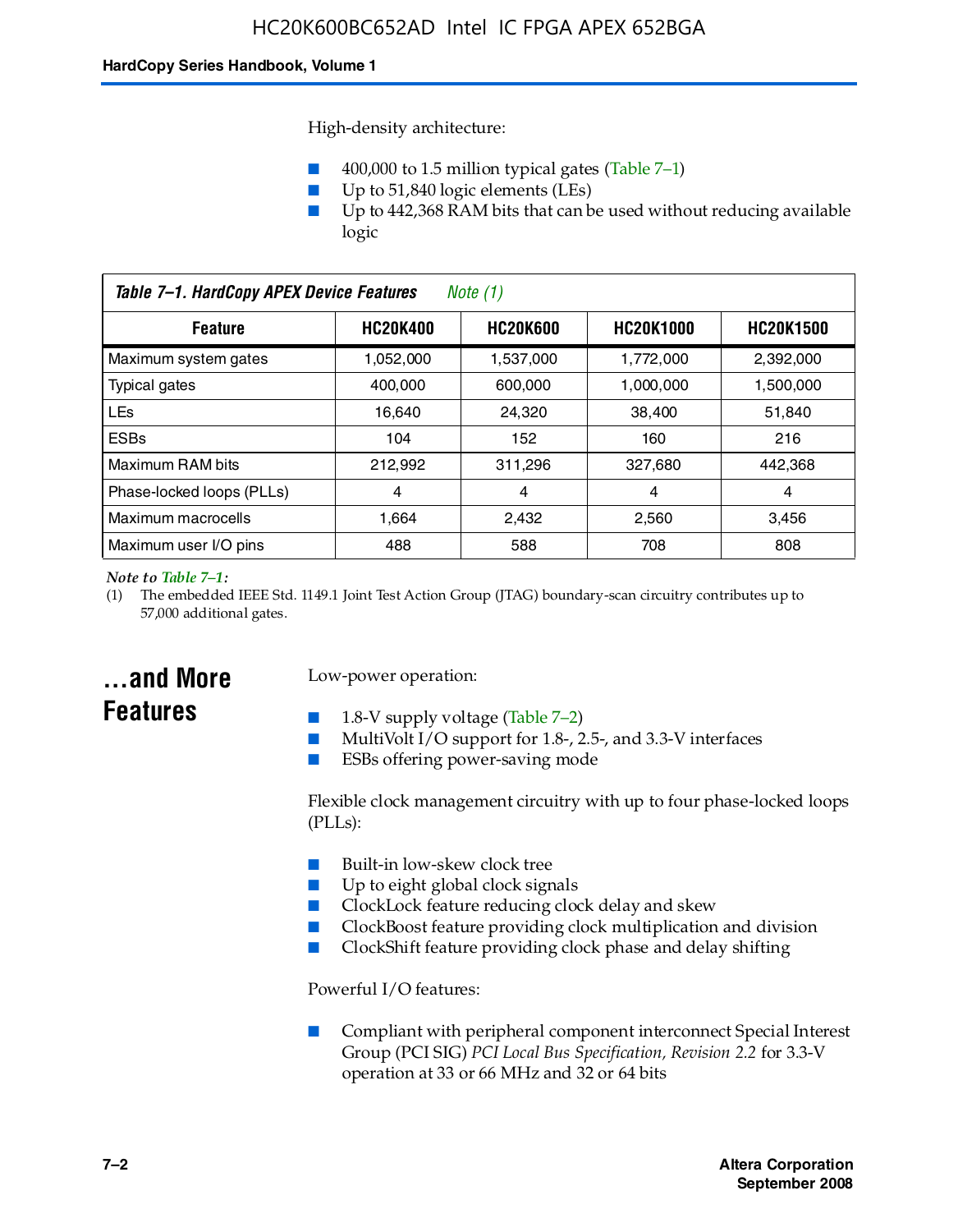High-density architecture:

- 400,000 to 1.5 million typical gates (Table 7–1)
- Up to 51,840 logic elements (LEs)
- Up to 442,368 RAM bits that can be used without reducing available logic

| Table 7-1. HardCopy APEX Device Features<br>Note $(1)$                                       |           |           |           |           |
|----------------------------------------------------------------------------------------------|-----------|-----------|-----------|-----------|
| <b>HC20K600</b><br><b>HC20K1000</b><br><b>HC20K400</b><br><b>HC20K1500</b><br><b>Feature</b> |           |           |           |           |
| Maximum system gates                                                                         | 1,052,000 | 1,537,000 | 1,772,000 | 2,392,000 |
| <b>Typical gates</b>                                                                         | 400.000   | 600,000   | 1.000.000 | 1,500,000 |
| <b>LEs</b>                                                                                   | 16.640    | 24.320    | 38.400    | 51,840    |
| <b>ESBs</b>                                                                                  | 104       | 152       | 160       | 216       |
| Maximum RAM bits                                                                             | 212.992   | 311,296   | 327.680   | 442,368   |
| Phase-locked loops (PLLs)                                                                    | 4         | 4         | 4         | 4         |
| Maximum macrocells                                                                           | 1.664     | 2,432     | 2,560     | 3,456     |
| Maximum user I/O pins                                                                        | 488       | 588       | 708       | 808       |

#### *Note to Table 7–1:*

(1) The embedded IEEE Std. 1149.1 Joint Test Action Group (JTAG) boundary-scan circuitry contributes up to 57,000 additional gates.

## **...and More Features**

#### Low-power operation:

- 1.8-V supply voltage (Table  $7-2$ )
- MultiVolt I/O support for 1.8-, 2.5-, and 3.3-V interfaces
- ESBs offering power-saving mode

Flexible clock management circuitry with up to four phase-locked loops (PLLs):

- Built-in low-skew clock tree
- Up to eight global clock signals
- ClockLock feature reducing clock delay and skew
- ClockBoost feature providing clock multiplication and division
- ClockShift feature providing clock phase and delay shifting

Powerful I/O features:

■ Compliant with peripheral component interconnect Special Interest Group (PCI SIG) *PCI Local Bus Specification, Revision 2.2* for 3.3-V operation at 33 or 66 MHz and 32 or 64 bits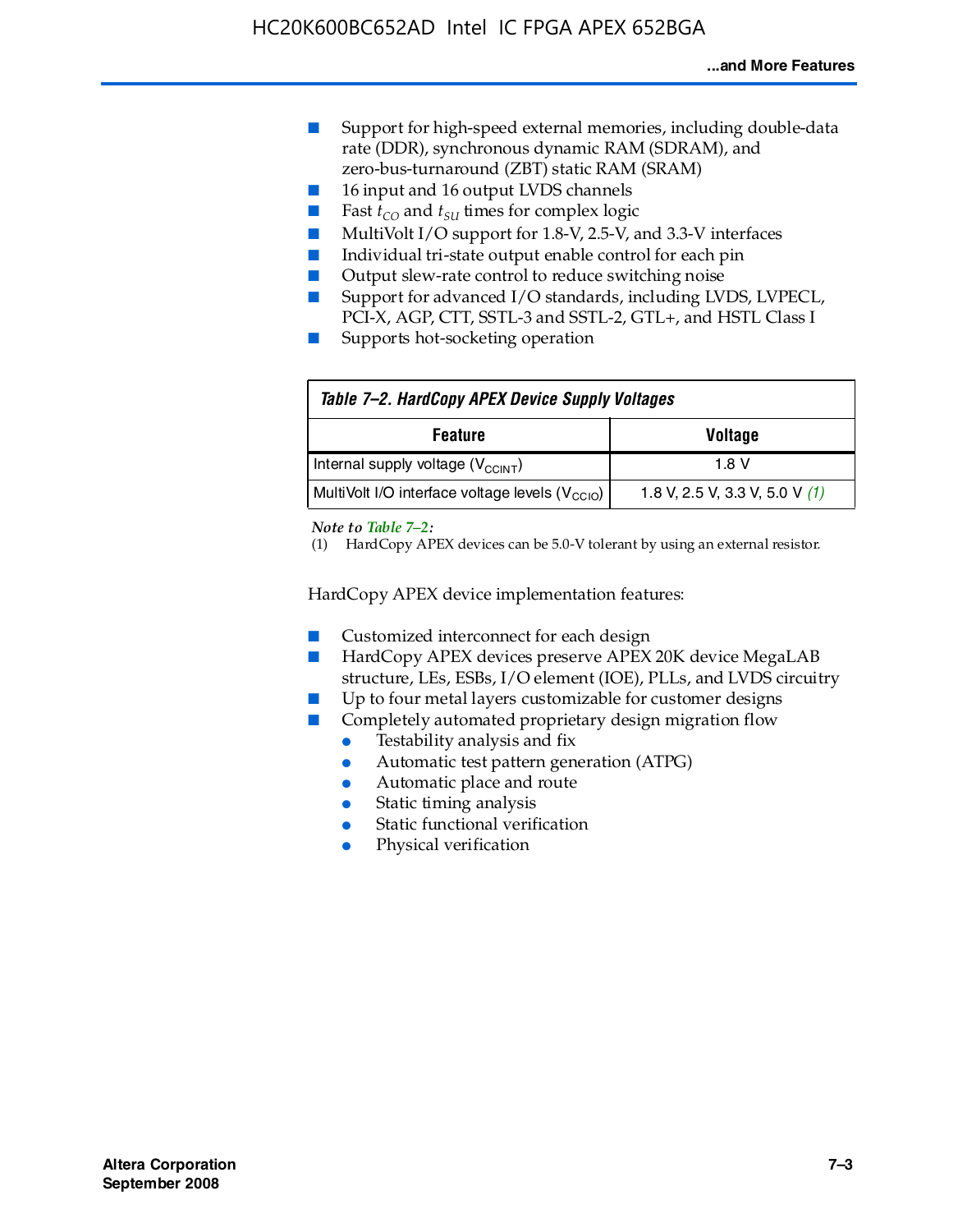- Support for high-speed external memories, including double-data rate (DDR), synchronous dynamic RAM (SDRAM), and zero-bus-turnaround (ZBT) static RAM (SRAM)
- 16 input and 16 output LVDS channels
- Fast  $t_{CO}$  and  $t_{SU}$  times for complex logic
- MultiVolt I/O support for 1.8-V, 2.5-V, and 3.3-V interfaces
- Individual tri-state output enable control for each pin
- Output slew-rate control to reduce switching noise
- Support for advanced I/O standards, including LVDS, LVPECL, PCI-X, AGP, CTT, SSTL-3 and SSTL-2, GTL+, and HSTL Class I
- Supports hot-socketing operation

| Table 7-2. HardCopy APEX Device Supply Voltages             |                                  |
|-------------------------------------------------------------|----------------------------------|
| <b>Feature</b><br><b>Voltage</b>                            |                                  |
| Internal supply voltage (V <sub>CCINT</sub> )               | 1.8 V                            |
| MultiVolt I/O interface voltage levels (V <sub>CCIO</sub> ) | 1.8 V, 2.5 V, 3.3 V, 5.0 V $(1)$ |

#### *Note to Table 7–2:*

(1) HardCopy APEX devices can be 5.0-V tolerant by using an external resistor.

HardCopy APEX device implementation features:

- Customized interconnect for each design
- HardCopy APEX devices preserve APEX 20K device MegaLAB structure, LEs, ESBs, I/O element (IOE), PLLs, and LVDS circuitry
- Up to four metal layers customizable for customer designs
- Completely automated proprietary design migration flow
	- Testability analysis and fix
	- Automatic test pattern generation (ATPG)
	- Automatic place and route
	- Static timing analysis
	- Static functional verification
	- Physical verification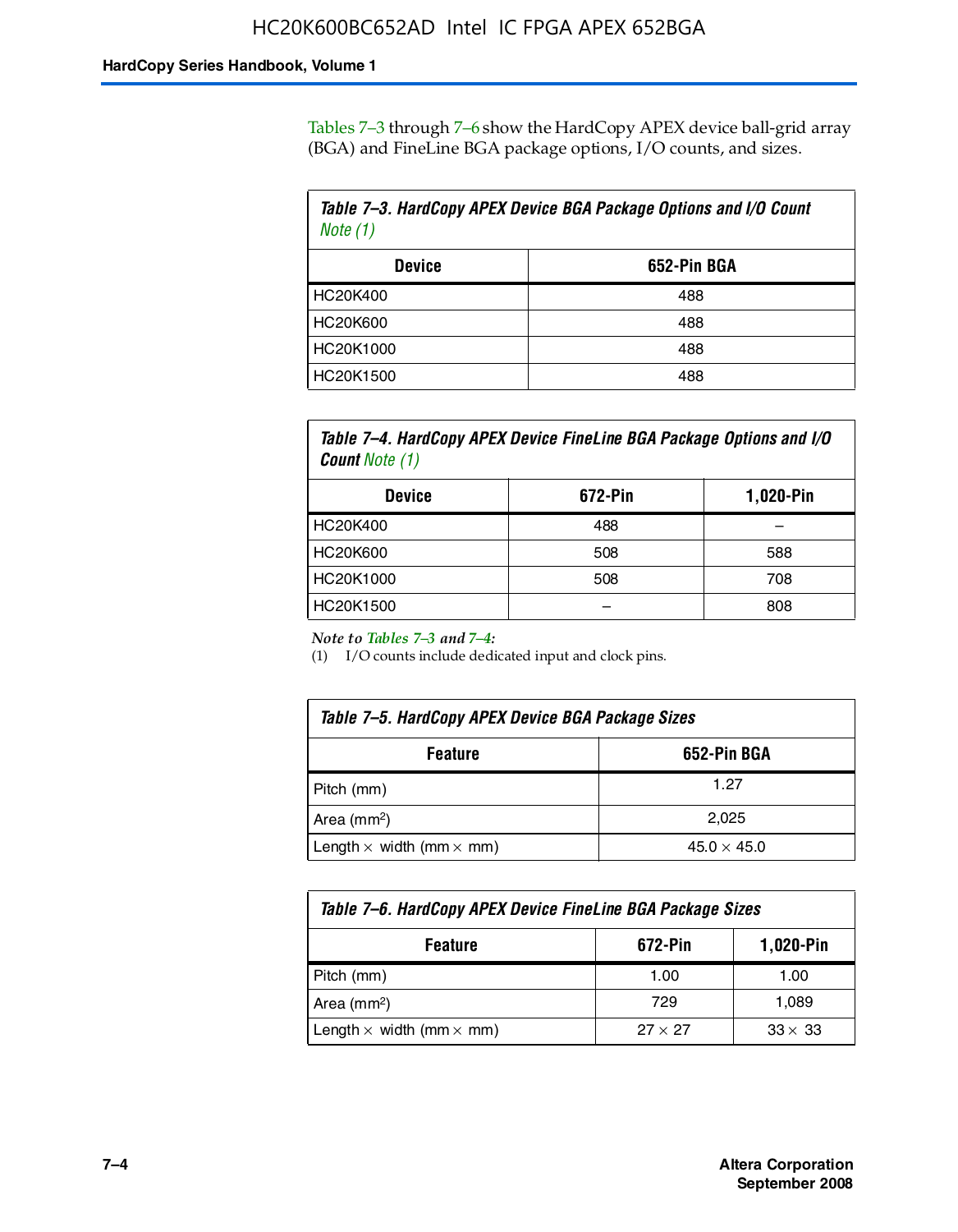Tables 7–3 through 7–6 show the HardCopy APEX device ball-grid array (BGA) and FineLine BGA package options, I/O counts, and sizes.

| Table 7-3. HardCopy APEX Device BGA Package Options and I/O Count<br>Note $(1)$ |             |  |
|---------------------------------------------------------------------------------|-------------|--|
| <b>Device</b>                                                                   | 652-Pin BGA |  |
| HC20K400                                                                        | 488         |  |
| HC20K600                                                                        | 488         |  |
| HC20K1000                                                                       | 488         |  |
| HC20K1500                                                                       | 488         |  |

*Table 7–4. HardCopy APEX Device FineLine BGA Package Options and I/O Count Note (1)*

| <b>Device</b>   | 672-Pin | 1,020-Pin |
|-----------------|---------|-----------|
| HC20K400        | 488     |           |
| <b>HC20K600</b> | 508     | 588       |
| HC20K1000       | 508     | 708       |
| HC20K1500       |         | 808       |

*Note to Tables 7–3 and 7–4:*

(1) I/O counts include dedicated input and clock pins.

| Table 7–5. HardCopy APEX Device BGA Package Sizes            |       |  |
|--------------------------------------------------------------|-------|--|
| 652-Pin BGA<br><b>Feature</b>                                |       |  |
| Pitch (mm)                                                   | 1.27  |  |
| Area $(mm2)$                                                 | 2.025 |  |
| Length $\times$ width (mm $\times$ mm)<br>$45.0 \times 45.0$ |       |  |

| Table 7–6. HardCopy APEX Device FineLine BGA Package Sizes                 |      |       |  |
|----------------------------------------------------------------------------|------|-------|--|
| 1,020-Pin<br>672-Pin<br><b>Feature</b>                                     |      |       |  |
| Pitch (mm)                                                                 | 1.00 | 1.00  |  |
| Area $(mm2)$                                                               | 729  | 1,089 |  |
| Length $\times$ width (mm $\times$ mm)<br>$33 \times 33$<br>$27 \times 27$ |      |       |  |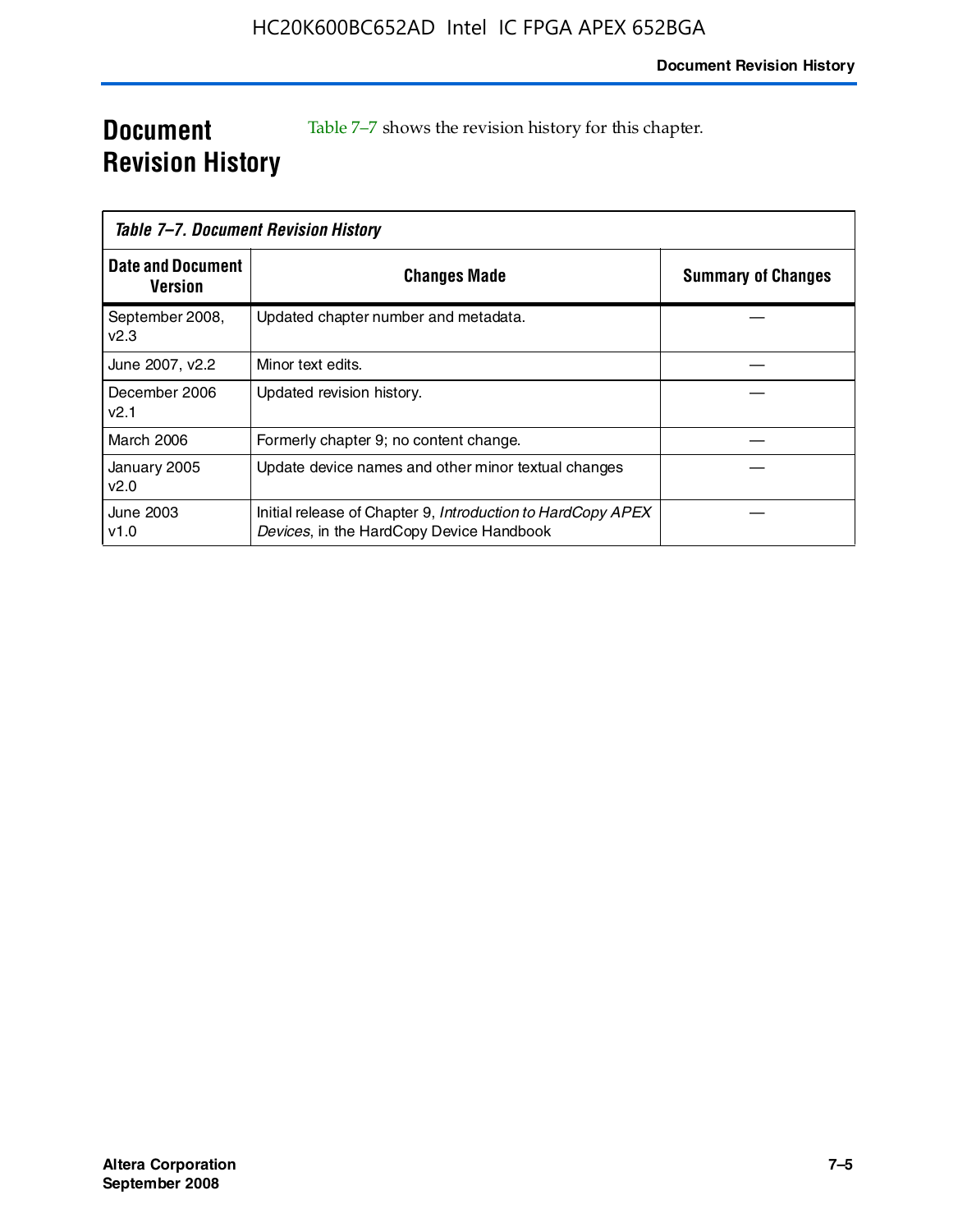## **Document Revision History**

Table 7–7 shows the revision history for this chapter.

| Table 7-7. Document Revision History |                                                                                                         |                           |
|--------------------------------------|---------------------------------------------------------------------------------------------------------|---------------------------|
| <b>Date and Document</b><br>Version  | <b>Changes Made</b>                                                                                     | <b>Summary of Changes</b> |
| September 2008,<br>V <sub>2.3</sub>  | Updated chapter number and metadata.                                                                    |                           |
| June 2007, v2.2                      | Minor text edits.                                                                                       |                           |
| December 2006<br>v2.1                | Updated revision history.                                                                               |                           |
| <b>March 2006</b>                    | Formerly chapter 9; no content change.                                                                  |                           |
| January 2005<br>v2.0                 | Update device names and other minor textual changes                                                     |                           |
| June 2003<br>v1.0                    | Initial release of Chapter 9, Introduction to HardCopy APEX<br>Devices, in the HardCopy Device Handbook |                           |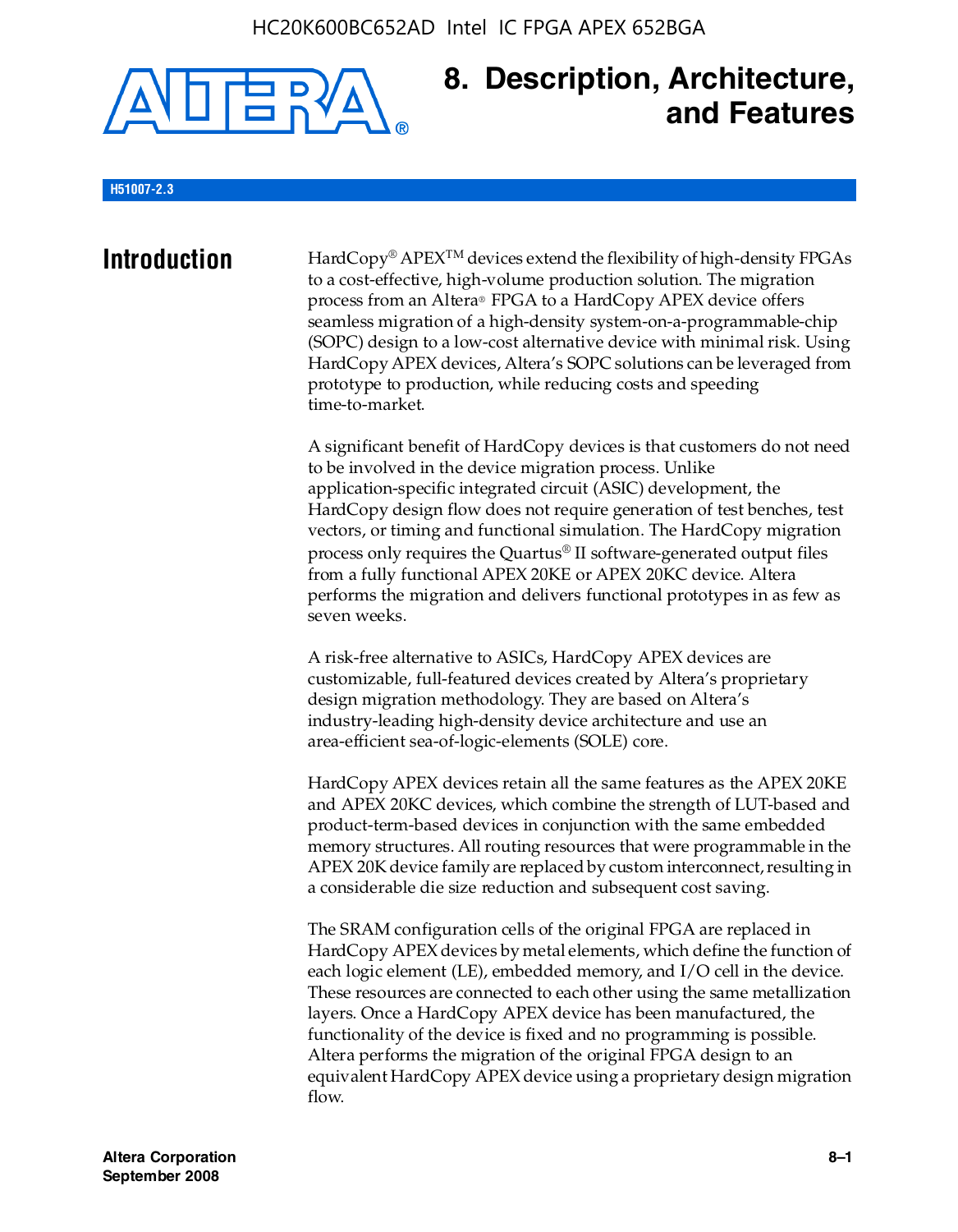

## **8. Description, Architecture, and Features**

#### **H51007-2.3**

**Introduction** HardCopy<sup>®</sup> APEX<sup>TM</sup> devices extend the flexibility of high-density FPGAs to a cost-effective, high-volume production solution. The migration process from an Altera® FPGA to a HardCopy APEX device offers seamless migration of a high-density system-on-a-programmable-chip (SOPC) design to a low-cost alternative device with minimal risk. Using HardCopy APEX devices, Altera's SOPC solutions can be leveraged from prototype to production, while reducing costs and speeding time-to-market.

> A significant benefit of HardCopy devices is that customers do not need to be involved in the device migration process. Unlike application-specific integrated circuit (ASIC) development, the HardCopy design flow does not require generation of test benches, test vectors, or timing and functional simulation. The HardCopy migration process only requires the Quartus® II software-generated output files from a fully functional APEX 20KE or APEX 20KC device. Altera performs the migration and delivers functional prototypes in as few as seven weeks.

A risk-free alternative to ASICs, HardCopy APEX devices are customizable, full-featured devices created by Altera's proprietary design migration methodology. They are based on Altera's industry-leading high-density device architecture and use an area-efficient sea-of-logic-elements (SOLE) core.

HardCopy APEX devices retain all the same features as the APEX 20KE and APEX 20KC devices, which combine the strength of LUT-based and product-term-based devices in conjunction with the same embedded memory structures. All routing resources that were programmable in the APEX 20K device family are replaced by custom interconnect, resulting in a considerable die size reduction and subsequent cost saving.

The SRAM configuration cells of the original FPGA are replaced in HardCopy APEX devices by metal elements, which define the function of each logic element (LE), embedded memory, and I/O cell in the device. These resources are connected to each other using the same metallization layers. Once a HardCopy APEX device has been manufactured, the functionality of the device is fixed and no programming is possible. Altera performs the migration of the original FPGA design to an equivalent HardCopy APEX device using a proprietary design migration flow.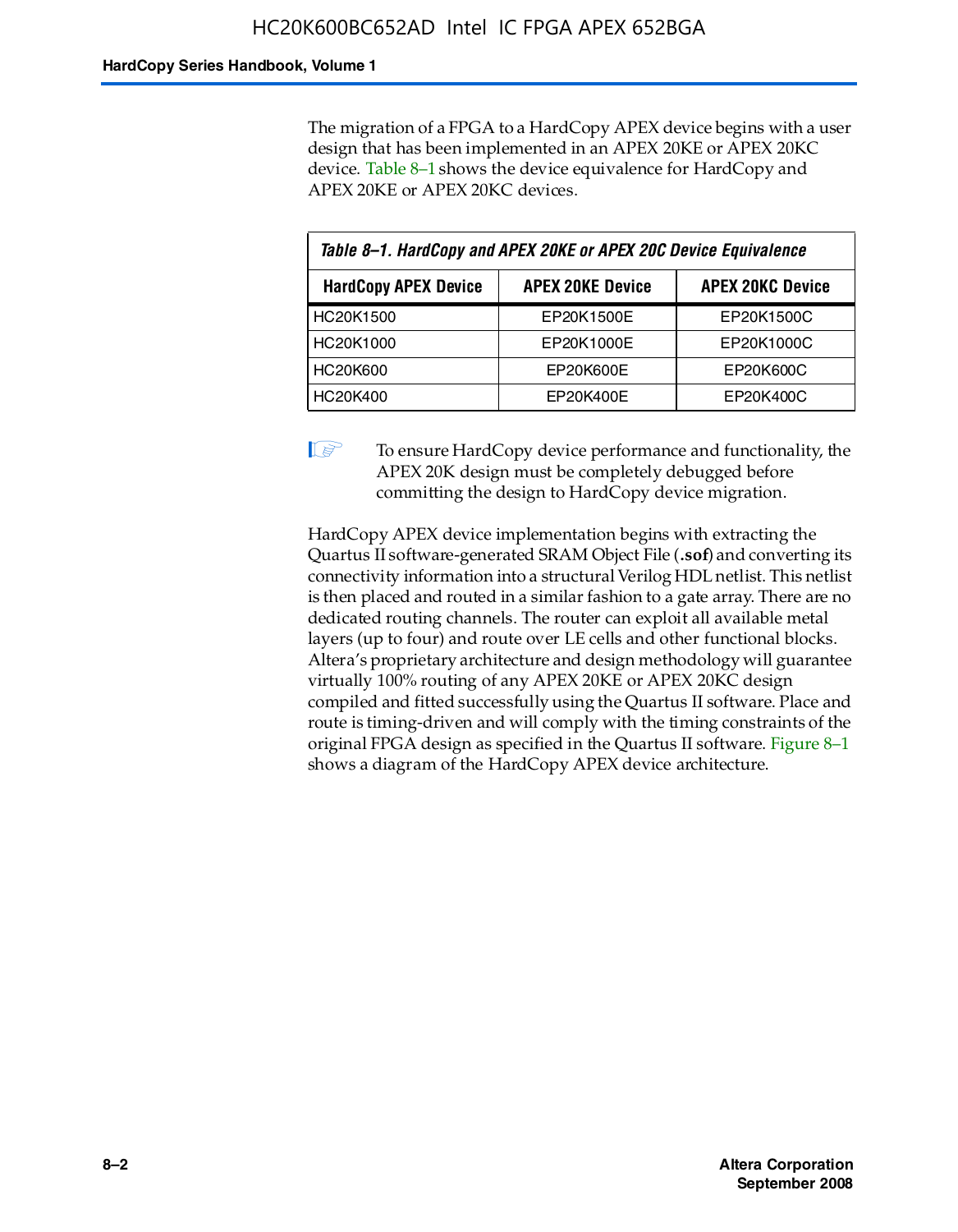The migration of a FPGA to a HardCopy APEX device begins with a user design that has been implemented in an APEX 20KE or APEX 20KC device. Table 8–1 shows the device equivalence for HardCopy and APEX 20KE or APEX 20KC devices.

| Table 8-1. HardCopy and APEX 20KE or APEX 20C Device Equivalence                  |            |            |  |
|-----------------------------------------------------------------------------------|------------|------------|--|
| <b>APEX 20KC Device</b><br><b>HardCopy APEX Device</b><br><b>APEX 20KE Device</b> |            |            |  |
| HC20K1500                                                                         | EP20K1500E | EP20K1500C |  |
| HC20K1000                                                                         | EP20K1000E | EP20K1000C |  |
| <b>HC20K600</b>                                                                   | EP20K600E  | EP20K600C  |  |
| HC20K400                                                                          | EP20K400E  | EP20K400C  |  |

 $\mathbb{I}$  To ensure HardCopy device performance and functionality, the APEX 20K design must be completely debugged before committing the design to HardCopy device migration.

HardCopy APEX device implementation begins with extracting the Quartus II software-generated SRAM Object File (**.sof**) and converting its connectivity information into a structural Verilog HDL netlist. This netlist is then placed and routed in a similar fashion to a gate array. There are no dedicated routing channels. The router can exploit all available metal layers (up to four) and route over LE cells and other functional blocks. Altera's proprietary architecture and design methodology will guarantee virtually 100% routing of any APEX 20KE or APEX 20KC design compiled and fitted successfully using the Quartus II software. Place and route is timing-driven and will comply with the timing constraints of the original FPGA design as specified in the Quartus II software. Figure 8–1 shows a diagram of the HardCopy APEX device architecture.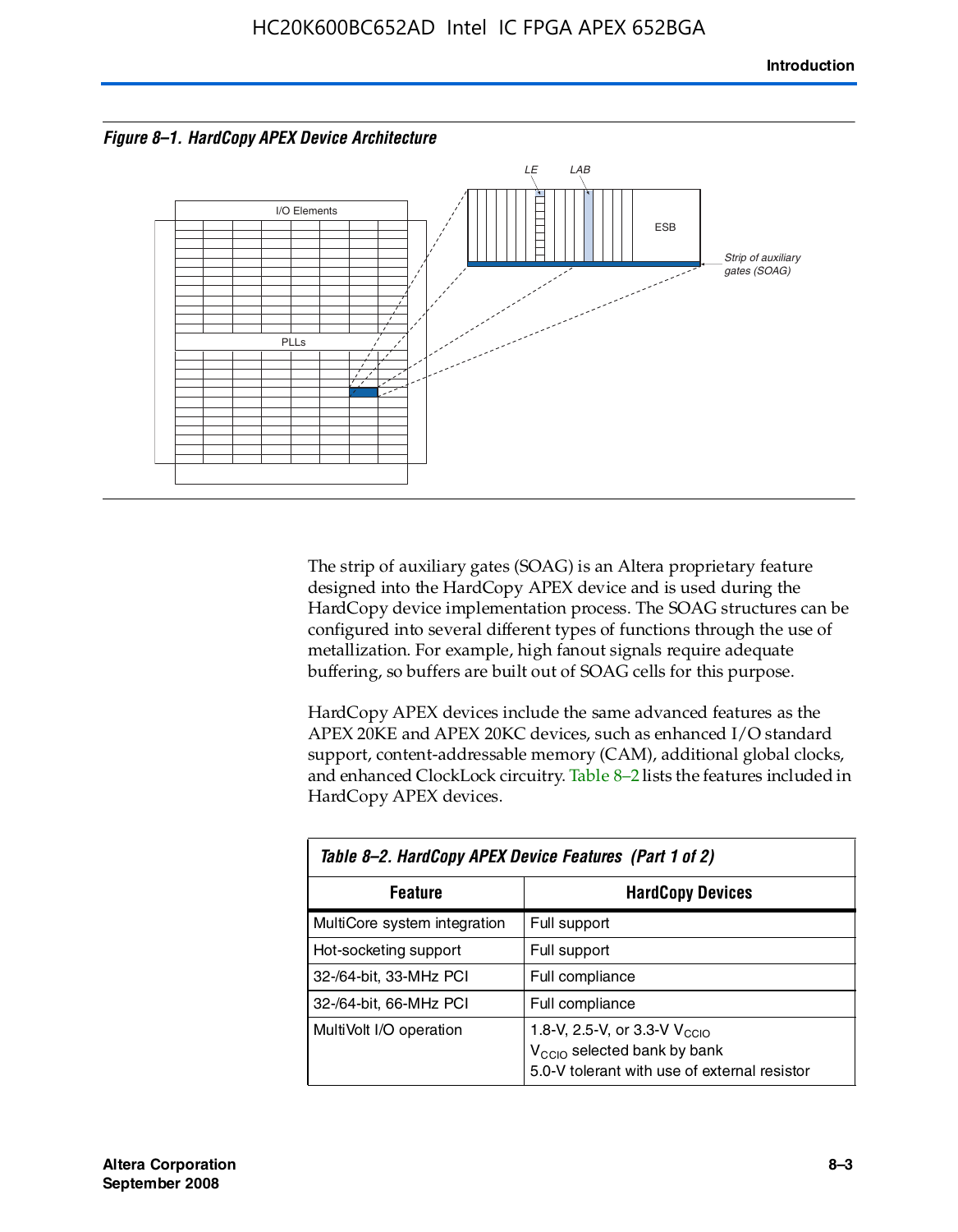



The strip of auxiliary gates (SOAG) is an Altera proprietary feature designed into the HardCopy APEX device and is used during the HardCopy device implementation process. The SOAG structures can be configured into several different types of functions through the use of metallization. For example, high fanout signals require adequate buffering, so buffers are built out of SOAG cells for this purpose.

HardCopy APEX devices include the same advanced features as the APEX 20KE and APEX 20KC devices, such as enhanced I/O standard support, content-addressable memory (CAM), additional global clocks, and enhanced ClockLock circuitry. Table 8–2 lists the features included in HardCopy APEX devices.

| Table 8–2. HardCopy APEX Device Features (Part 1 of 2) |                                                                                                                                     |  |  |
|--------------------------------------------------------|-------------------------------------------------------------------------------------------------------------------------------------|--|--|
| <b>Feature</b>                                         | <b>HardCopy Devices</b>                                                                                                             |  |  |
| MultiCore system integration                           | Full support                                                                                                                        |  |  |
| Hot-socketing support                                  | Full support                                                                                                                        |  |  |
| 32-/64-bit, 33-MHz PCI                                 | Full compliance                                                                                                                     |  |  |
| 32-/64-bit, 66-MHz PCI                                 | Full compliance                                                                                                                     |  |  |
| MultiVolt I/O operation                                | 1.8-V, 2.5-V, or 3.3-V $V_{\text{CCIO}}$<br>V <sub>CCIO</sub> selected bank by bank<br>5.0-V tolerant with use of external resistor |  |  |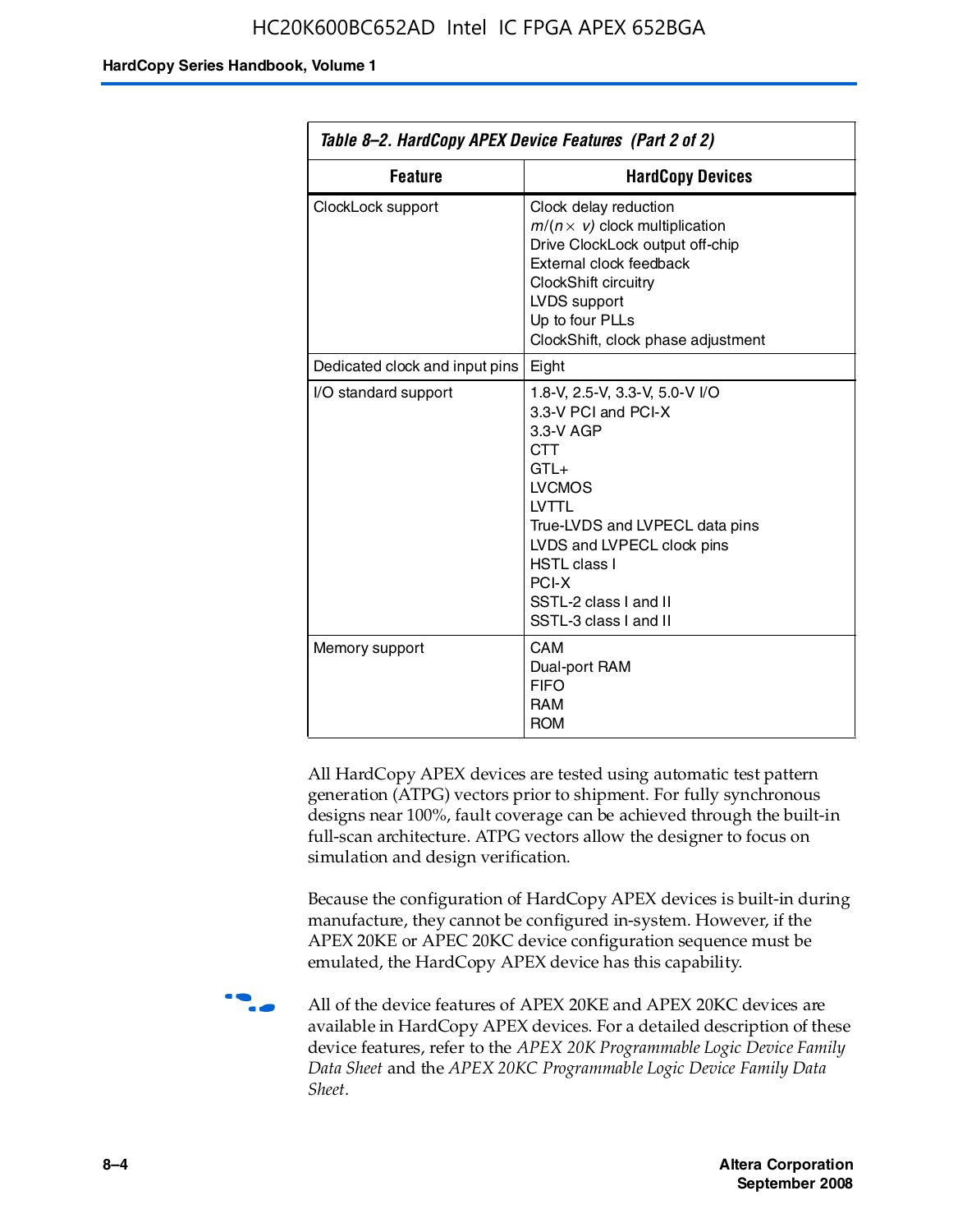| Table 8–2. HardCopy APEX Device Features (Part 2 of 2) |                                                                                                                                                                                                                                                                               |  |
|--------------------------------------------------------|-------------------------------------------------------------------------------------------------------------------------------------------------------------------------------------------------------------------------------------------------------------------------------|--|
| <b>Feature</b><br><b>HardCopy Devices</b>              |                                                                                                                                                                                                                                                                               |  |
| ClockLock support                                      | Clock delay reduction<br>$m/(n \times v)$ clock multiplication<br>Drive ClockLock output off-chip<br>External clock feedback<br>ClockShift circuitry<br>LVDS support<br>Up to four PLLs<br>ClockShift, clock phase adjustment                                                 |  |
| Dedicated clock and input pins                         | Eight                                                                                                                                                                                                                                                                         |  |
| I/O standard support                                   | 1.8-V, 2.5-V, 3.3-V, 5.0-V I/O<br>3.3-V PCI and PCI-X<br>3.3-V AGP<br><b>CTT</b><br>$GTL+$<br><b>LVCMOS</b><br><b>IVTTI</b><br>True-LVDS and LVPECL data pins<br>LVDS and LVPECL clock pins<br><b>HSTL class I</b><br>PCI-X<br>SSTL-2 class I and II<br>SSTL-3 class I and II |  |
| Memory support                                         | CAM<br>Dual-port RAM<br><b>FIFO</b><br><b>RAM</b><br><b>ROM</b>                                                                                                                                                                                                               |  |

All HardCopy APEX devices are tested using automatic test pattern generation (ATPG) vectors prior to shipment. For fully synchronous designs near 100%, fault coverage can be achieved through the built-in full-scan architecture. ATPG vectors allow the designer to focus on simulation and design verification.

Because the configuration of HardCopy APEX devices is built-in during manufacture, they cannot be configured in-system. However, if the APEX 20KE or APEC 20KC device configuration sequence must be emulated, the HardCopy APEX device has this capability.

**f all of the device features of APEX 20KE and APEX 20KC devices are** available in HardCopy APEX devices. For a detailed description of these device features, refer to the *APEX 20K Programmable Logic Device Family Data Sheet* and the *APEX 20KC Programmable Logic Device Family Data Sheet*.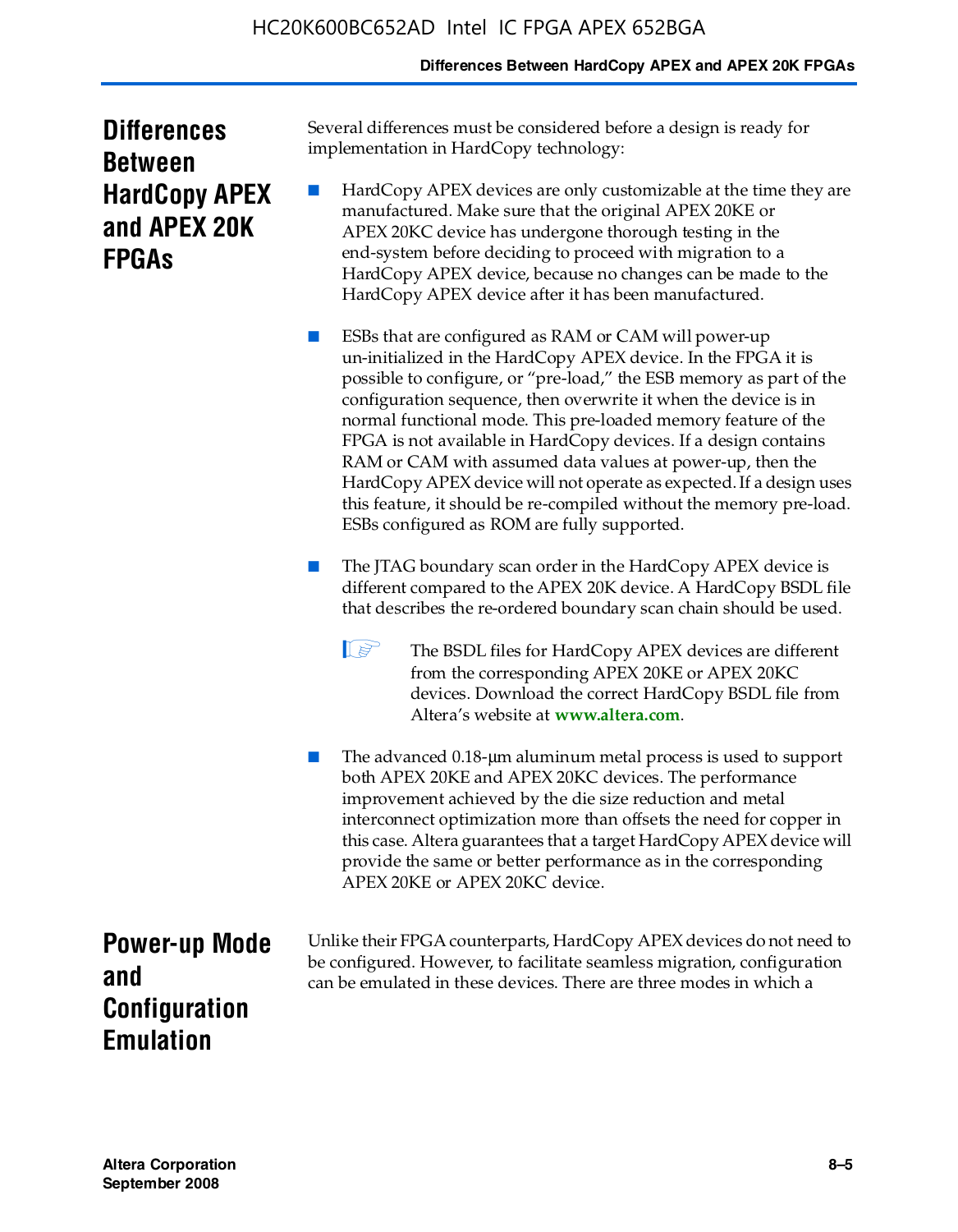#### **Differences Between HardCopy APEX and APEX 20K FPGAs**

| <b>Differences</b>   |  |  |
|----------------------|--|--|
| <b>Between</b>       |  |  |
| <b>HardCopy APEX</b> |  |  |
| and APEX 20K         |  |  |
| <b>FPGAS</b>         |  |  |

Several differences must be considered before a design is ready for implementation in HardCopy technology:

HardCopy APEX devices are only customizable at the time they are manufactured. Make sure that the original APEX 20KE or APEX 20KC device has undergone thorough testing in the end-system before deciding to proceed with migration to a HardCopy APEX device, because no changes can be made to the HardCopy APEX device after it has been manufactured.

ESBs that are configured as RAM or CAM will power-up un-initialized in the HardCopy APEX device. In the FPGA it is possible to configure, or "pre-load," the ESB memory as part of the configuration sequence, then overwrite it when the device is in normal functional mode. This pre-loaded memory feature of the FPGA is not available in HardCopy devices. If a design contains RAM or CAM with assumed data values at power-up, then the HardCopy APEX device will not operate as expected. If a design uses this feature, it should be re-compiled without the memory pre-load. ESBs configured as ROM are fully supported.

- The JTAG boundary scan order in the HardCopy APEX device is different compared to the APEX 20K device. A HardCopy BSDL file that describes the re-ordered boundary scan chain should be used.
	- **1 The BSDL files for HardCopy APEX devices are different** from the corresponding APEX 20KE or APEX 20KC devices. Download the correct HardCopy BSDL file from Altera's website at **[www.altera.com](http://www.altera.com)**.

The advanced 0.18-μm aluminum metal process is used to support both APEX 20KE and APEX 20KC devices. The performance improvement achieved by the die size reduction and metal interconnect optimization more than offsets the need for copper in this case. Altera guarantees that a target HardCopy APEX device will provide the same or better performance as in the corresponding APEX 20KE or APEX 20KC device.

**Power-up Mode and Configuration Emulation**

Unlike their FPGA counterparts, HardCopy APEX devices do not need to be configured. However, to facilitate seamless migration, configuration can be emulated in these devices. There are three modes in which a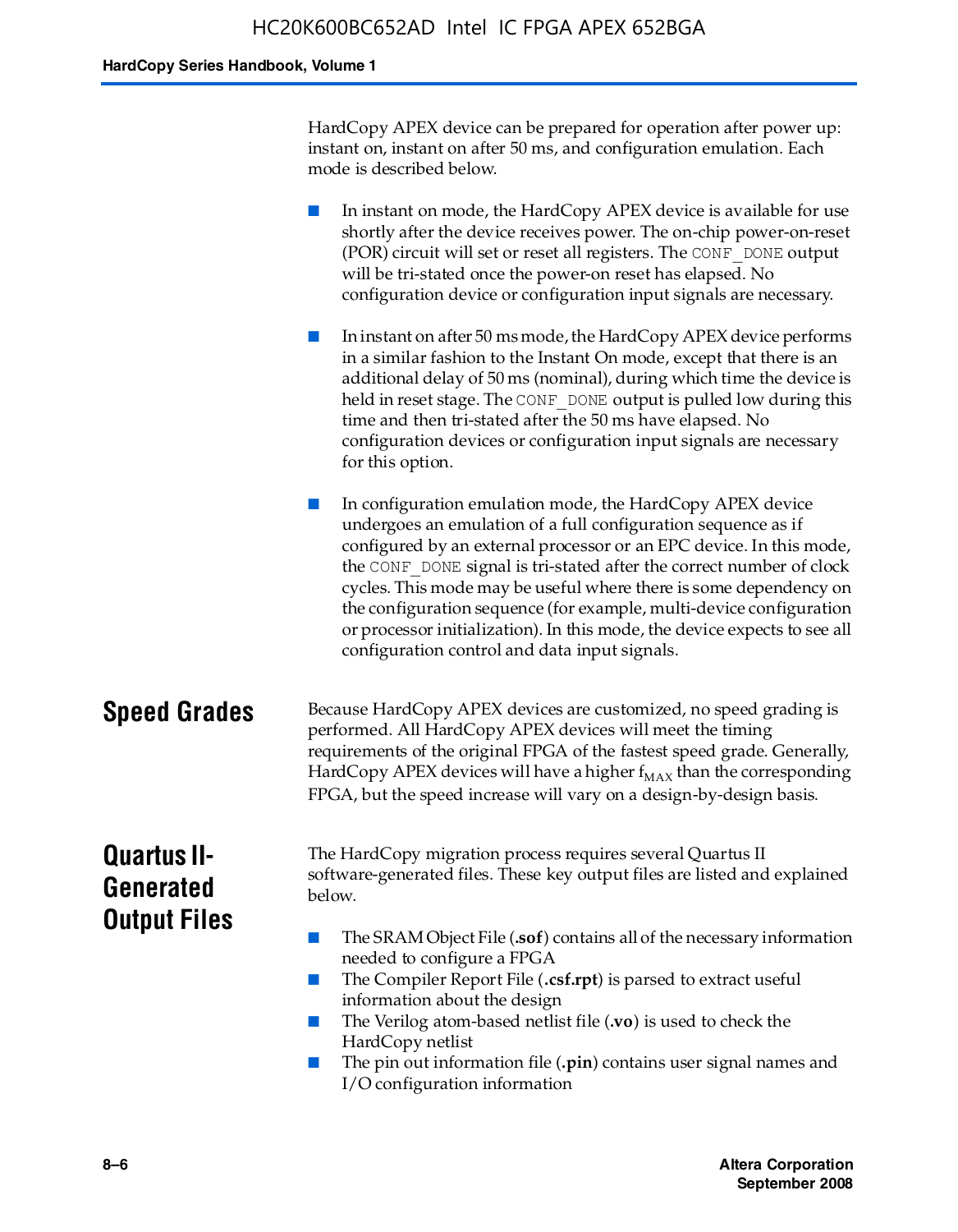HardCopy APEX device can be prepared for operation after power up: instant on, instant on after 50 ms, and configuration emulation. Each mode is described below.

■ In instant on mode, the HardCopy APEX device is available for use shortly after the device receives power. The on-chip power-on-reset (POR) circuit will set or reset all registers. The CONF\_DONE output will be tri-stated once the power-on reset has elapsed. No configuration device or configuration input signals are necessary.

In instant on after 50 ms mode, the HardCopy APEX device performs in a similar fashion to the Instant On mode, except that there is an additional delay of 50 ms (nominal), during which time the device is held in reset stage. The CONF DONE output is pulled low during this time and then tri-stated after the 50 ms have elapsed. No configuration devices or configuration input signals are necessary for this option.

In configuration emulation mode, the HardCopy APEX device undergoes an emulation of a full configuration sequence as if configured by an external processor or an EPC device. In this mode, the CONF\_DONE signal is tri-stated after the correct number of clock cycles. This mode may be useful where there is some dependency on the configuration sequence (for example, multi-device configuration or processor initialization). In this mode, the device expects to see all configuration control and data input signals.

#### **Speed Grades** Because HardCopy APEX devices are customized, no speed grading is performed. All HardCopy APEX devices will meet the timing requirements of the original FPGA of the fastest speed grade. Generally, HardCopy APEX devices will have a higher  $f_{MAX}$  than the corresponding FPGA, but the speed increase will vary on a design-by-design basis.

## **Quartus II-Generated Output Files**

The HardCopy migration process requires several Quartus II software-generated files. These key output files are listed and explained below.

- The SRAM Object File (**.sof**) contains all of the necessary information needed to configure a FPGA
- The Compiler Report File (.csf.rpt) is parsed to extract useful information about the design
- The Verilog atom-based netlist file (**.vo**) is used to check the HardCopy netlist
- The pin out information file (**.pin**) contains user signal names and I/O configuration information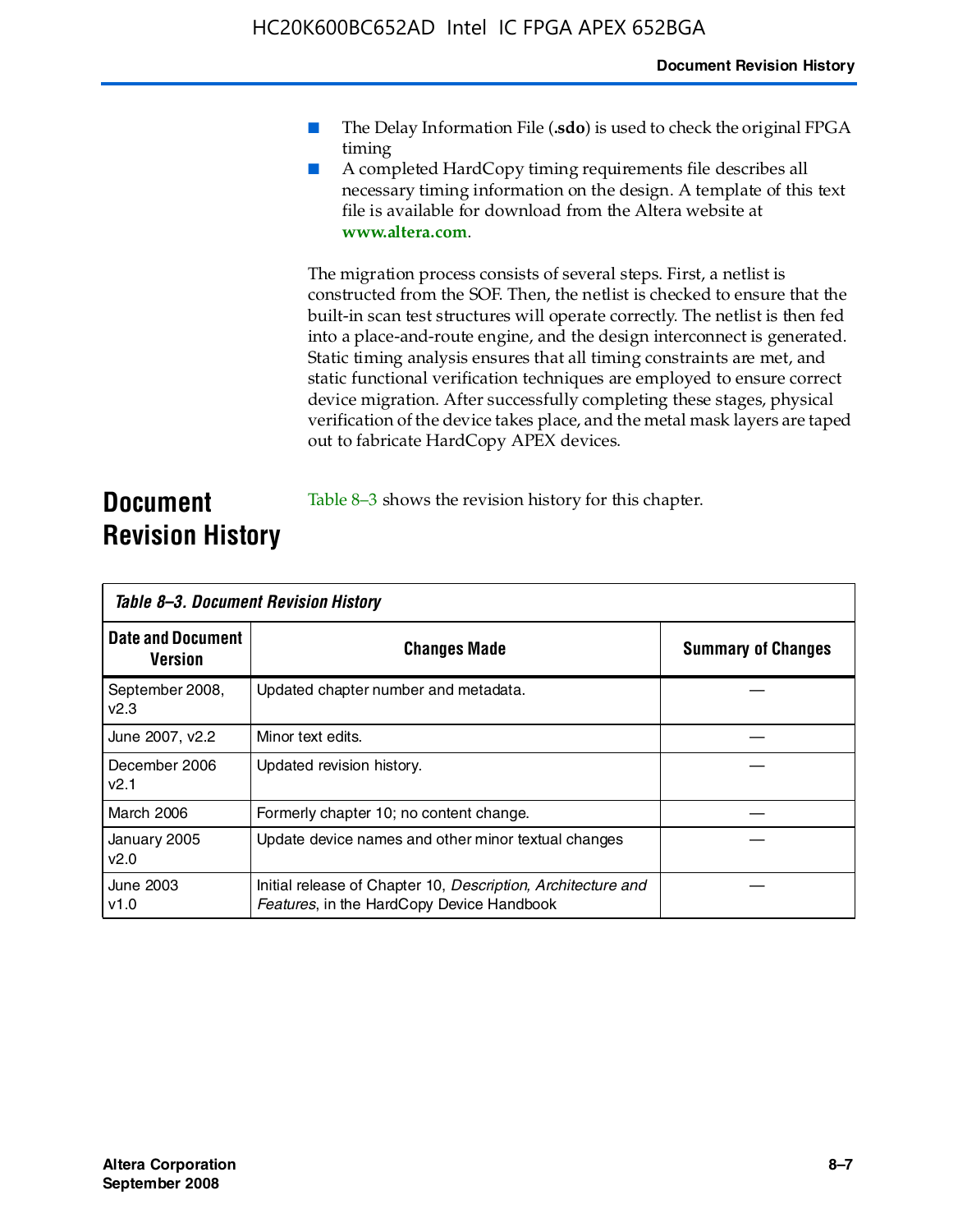- The Delay Information File (.sdo) is used to check the original FPGA timing
- A completed HardCopy timing requirements file describes all necessary timing information on the design. A template of this text file is available for download from the Altera website at **www.altera.com**.

The migration process consists of several steps. First, a netlist is constructed from the SOF. Then, the netlist is checked to ensure that the built-in scan test structures will operate correctly. The netlist is then fed into a place-and-route engine, and the design interconnect is generated. Static timing analysis ensures that all timing constraints are met, and static functional verification techniques are employed to ensure correct device migration. After successfully completing these stages, physical verification of the device takes place, and the metal mask layers are taped out to fabricate HardCopy APEX devices.

#### **Document Revision History** Table 8–3 shows the revision history for this chapter.

| Table 8–3. Document Revision History |                                                                                                           |                           |  |  |
|--------------------------------------|-----------------------------------------------------------------------------------------------------------|---------------------------|--|--|
| <b>Date and Document</b><br>Version  | <b>Changes Made</b>                                                                                       | <b>Summary of Changes</b> |  |  |
| September 2008,<br>V <sub>2.3</sub>  | Updated chapter number and metadata.                                                                      |                           |  |  |
| June 2007, v2.2                      | Minor text edits.                                                                                         |                           |  |  |
| December 2006<br>v2.1                | Updated revision history.                                                                                 |                           |  |  |
| March 2006                           | Formerly chapter 10; no content change.                                                                   |                           |  |  |
| January 2005<br>v2.0                 | Update device names and other minor textual changes                                                       |                           |  |  |
| <b>June 2003</b><br>v1.0             | Initial release of Chapter 10, Description, Architecture and<br>Features, in the HardCopy Device Handbook |                           |  |  |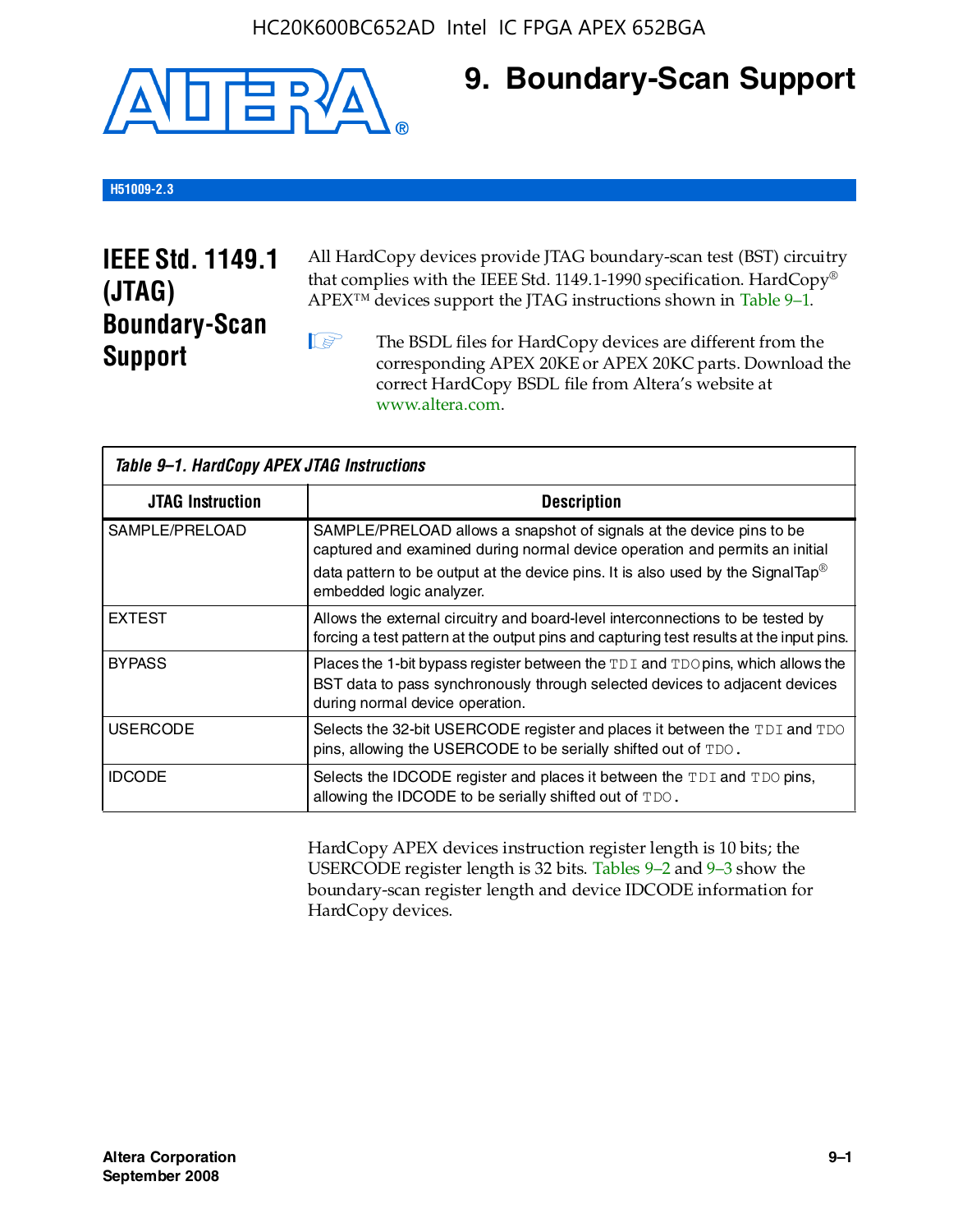

## **9. Boundary-Scan Support**

#### **H51009-2.3**

## **IEEE Std. 1149.1 (JTAG) Boundary-Scan Support**

All HardCopy devices provide JTAG boundary-scan test (BST) circuitry that complies with the IEEE Std. 1149.1-1990 specification. HardCopy® APEX™ devices support the JTAG instructions shown in Table 9–1.

**1 The BSDL files for HardCopy devices are different from the** corresponding APEX 20KE or APEX 20KC parts. Download the [correct HardCopy BSDL file from Altera's website at](http://www.altera.com)  www.altera.com.

| Table 9-1. HardCopy APEX JTAG Instructions |                                                                                                                                                                                                                                                                                |  |  |  |
|--------------------------------------------|--------------------------------------------------------------------------------------------------------------------------------------------------------------------------------------------------------------------------------------------------------------------------------|--|--|--|
| <b>JTAG Instruction</b>                    | <b>Description</b>                                                                                                                                                                                                                                                             |  |  |  |
| SAMPLE/PRELOAD                             | SAMPLE/PRELOAD allows a snapshot of signals at the device pins to be<br>captured and examined during normal device operation and permits an initial<br>data pattern to be output at the device pins. It is also used by the SignalTap <sup>®</sup><br>embedded logic analyzer. |  |  |  |
| <b>EXTEST</b>                              | Allows the external circuitry and board-level interconnections to be tested by<br>forcing a test pattern at the output pins and capturing test results at the input pins.                                                                                                      |  |  |  |
| <b>BYPASS</b>                              | Places the 1-bit bypass register between the TDI and TDO pins, which allows the<br>BST data to pass synchronously through selected devices to adjacent devices<br>during normal device operation.                                                                              |  |  |  |
| <b>USERCODE</b>                            | Selects the 32-bit USERCODE register and places it between the TDI and TDO<br>pins, allowing the USERCODE to be serially shifted out of TDO.                                                                                                                                   |  |  |  |
| <b>IDCODE</b>                              | Selects the IDCODE register and places it between the TDI and TDO pins,<br>allowing the IDCODE to be serially shifted out of TDO.                                                                                                                                              |  |  |  |

HardCopy APEX devices instruction register length is 10 bits; the USERCODE register length is 32 bits. Tables 9–2 and 9–3 show the boundary-scan register length and device IDCODE information for HardCopy devices.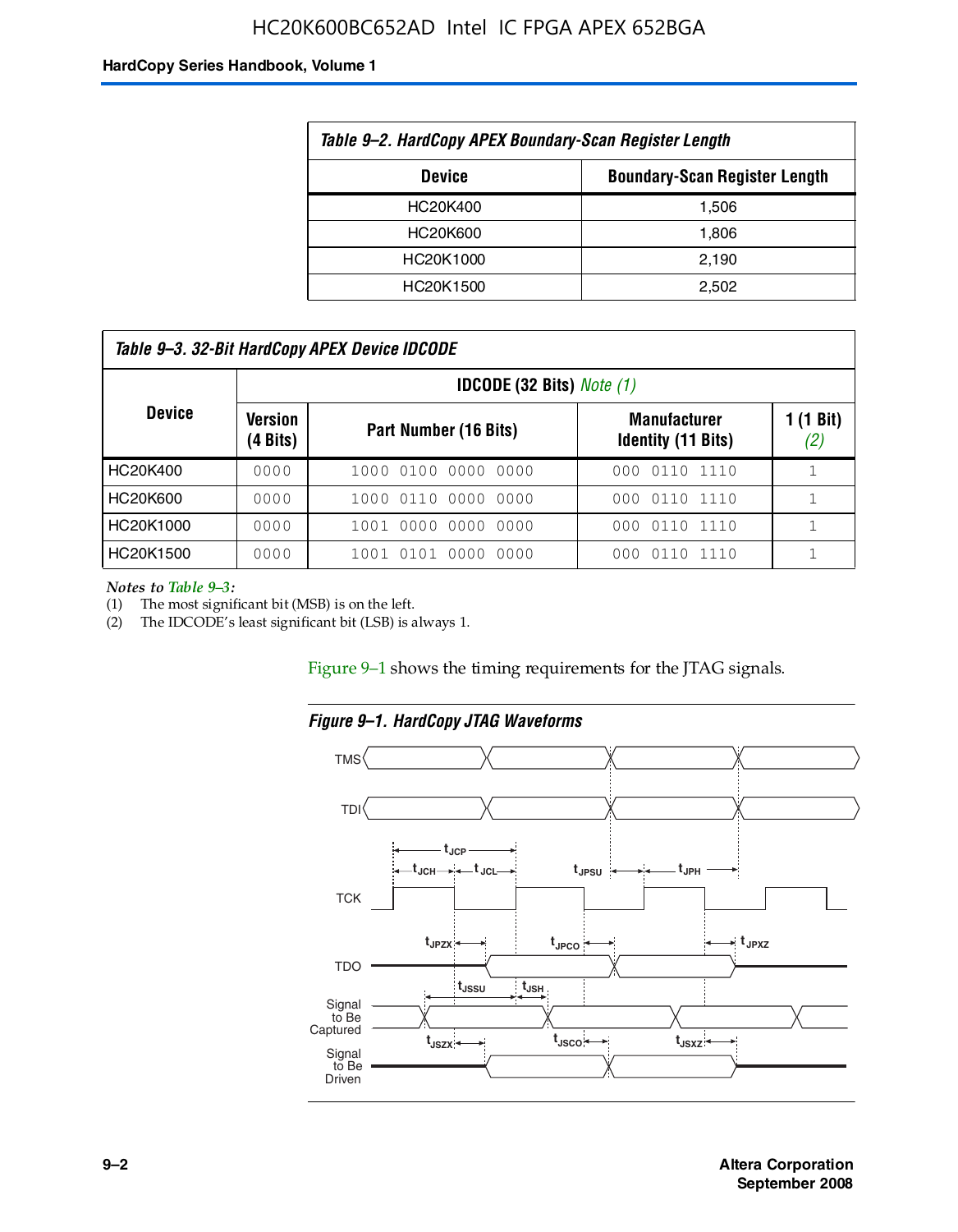#### HC20K600BC652AD Intel IC FPGA APEX 652BGA

#### **HardCopy Series Handbook, Volume 1**

| Table 9-2. HardCopy APEX Boundary-Scan Register Length |       |  |  |  |
|--------------------------------------------------------|-------|--|--|--|
| <b>Boundary-Scan Register Length</b><br><b>Device</b>  |       |  |  |  |
| HC20K400                                               | 1,506 |  |  |  |
| HC20K600                                               | 1,806 |  |  |  |
| HC20K1000                                              | 2,190 |  |  |  |
| HC20K1500                                              | 2.502 |  |  |  |

| Table 9–3. 32-Bit HardCopy APEX Device IDCODE |                     |                                         |                                                  |                  |  |  |  |
|-----------------------------------------------|---------------------|-----------------------------------------|--------------------------------------------------|------------------|--|--|--|
|                                               |                     | <b>IDCODE (32 Bits)</b> <i>Note (1)</i> |                                                  |                  |  |  |  |
| <b>Device</b>                                 | Version<br>(4 Bits) | Part Number (16 Bits)                   | <b>Manufacturer</b><br><b>Identity (11 Bits)</b> | 1 (1 Bit)<br>(2) |  |  |  |
| HC20K400                                      | 0000                | 1000 0100 0000 0000                     | 0110 1110<br>000                                 |                  |  |  |  |
| HC20K600                                      | 0000                | 1000 0110 0000 0000                     | 000 0110 1110                                    |                  |  |  |  |
| HC20K1000                                     | 0000                | 1001 0000 0000 0000                     | 000 0110 1110                                    |                  |  |  |  |
| HC20K1500                                     | 0000                | 1001 0101 0000<br>0000                  | 0110 1110<br>000                                 |                  |  |  |  |

*Notes to Table 9–3:*

(1) The most significant bit (MSB) is on the left.

(2) The IDCODE's least significant bit (LSB) is always 1.

Figure 9–1 shows the timing requirements for the JTAG signals.



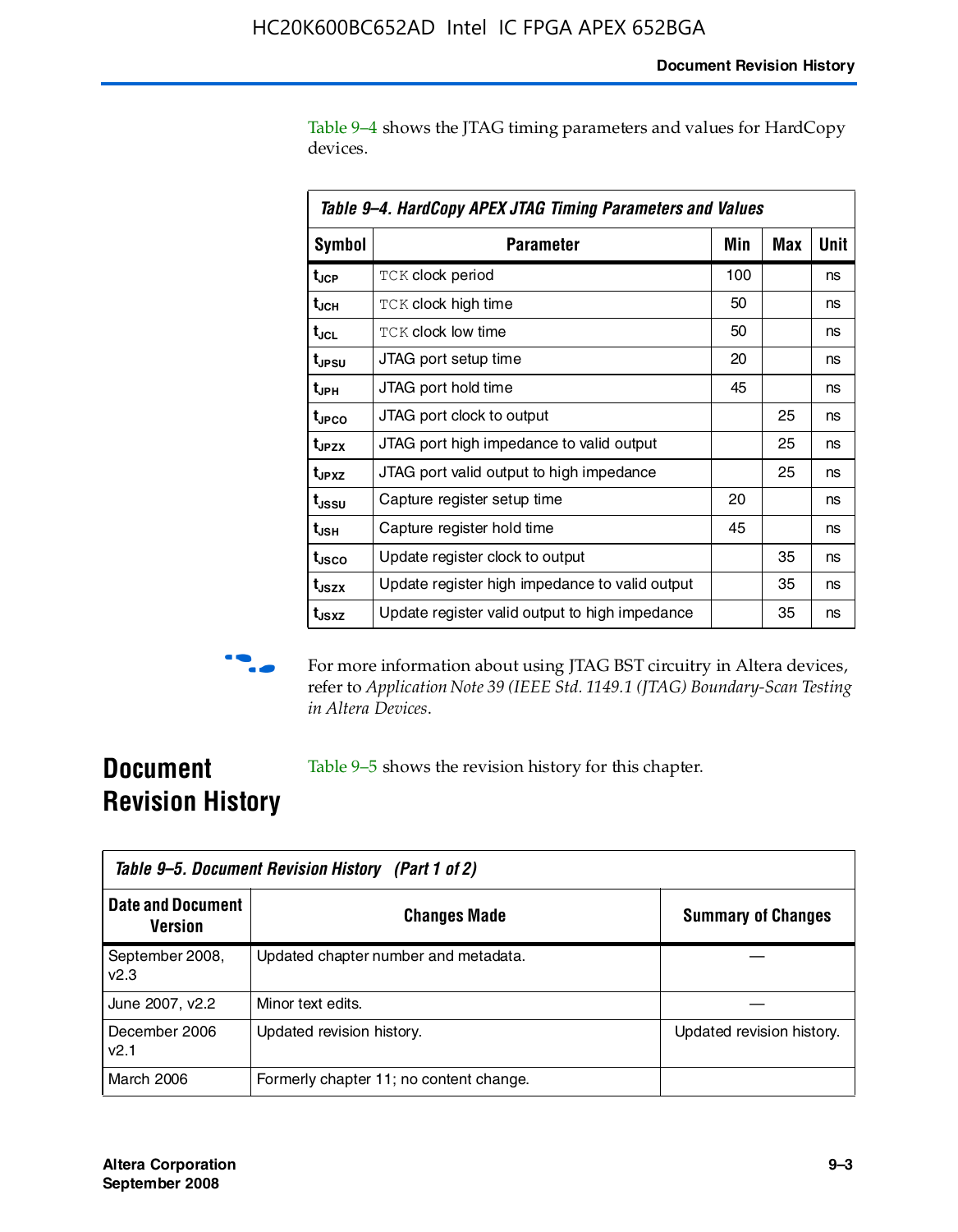Table 9–4 shows the JTAG timing parameters and values for HardCopy devices.

| Table 9–4. HardCopy APEX JTAG Timing Parameters and Values |                                                |     |     |      |  |  |
|------------------------------------------------------------|------------------------------------------------|-----|-----|------|--|--|
| <b>Symbol</b>                                              | Parameter                                      | Min | Max | Unit |  |  |
| t <sub>JCP</sub>                                           | <b>TCK clock period</b>                        | 100 |     | ns   |  |  |
| t <sub>JCH</sub>                                           | TCK clock high time                            | 50  |     | ns   |  |  |
| t <sub>JCL</sub>                                           | <b>TCK clock low time</b>                      | 50  |     | ns   |  |  |
| t <sub>JPSU</sub>                                          | JTAG port setup time                           | 20  |     | ns   |  |  |
| t <sub>JPH</sub>                                           | JTAG port hold time                            | 45  |     | ns   |  |  |
| t <sub>JPCO</sub>                                          | JTAG port clock to output                      |     | 25  | ns   |  |  |
| t <sub>JPZX</sub>                                          | JTAG port high impedance to valid output       |     | 25  | ns   |  |  |
| t <sub>JPXZ</sub>                                          | JTAG port valid output to high impedance       |     | 25  | ns   |  |  |
| t <sub>ussu</sub>                                          | Capture register setup time                    | 20  |     | ns   |  |  |
| t <sub>JSH</sub>                                           | Capture register hold time                     | 45  |     | ns   |  |  |
| t <sub>JSCO</sub>                                          | Update register clock to output                |     | 35  | ns   |  |  |
| t <sub>JSZX</sub>                                          | Update register high impedance to valid output |     | 35  | ns   |  |  |
| t <sub>JSXZ</sub>                                          | Update register valid output to high impedance |     | 35  | ns   |  |  |



**f** For more information about using JTAG BST circuitry in Altera devices, refer to *Application Note 39 (IEEE Std. 1149.1 (JTAG) Boundary-Scan Testing in Altera Devices*.

## **Document Revision History**

Table 9–5 shows the revision history for this chapter.

| Table 9–5. Document Revision History (Part 1 of 2) |                                         |                           |  |  |
|----------------------------------------------------|-----------------------------------------|---------------------------|--|--|
| <b>Date and Document</b><br><b>Version</b>         | <b>Changes Made</b>                     | <b>Summary of Changes</b> |  |  |
| September 2008,<br>V <sub>2.3</sub>                | Updated chapter number and metadata.    |                           |  |  |
| June 2007, v2.2                                    | Minor text edits.                       |                           |  |  |
| December 2006<br>v2.1                              | Updated revision history.               | Updated revision history. |  |  |
| March 2006                                         | Formerly chapter 11; no content change. |                           |  |  |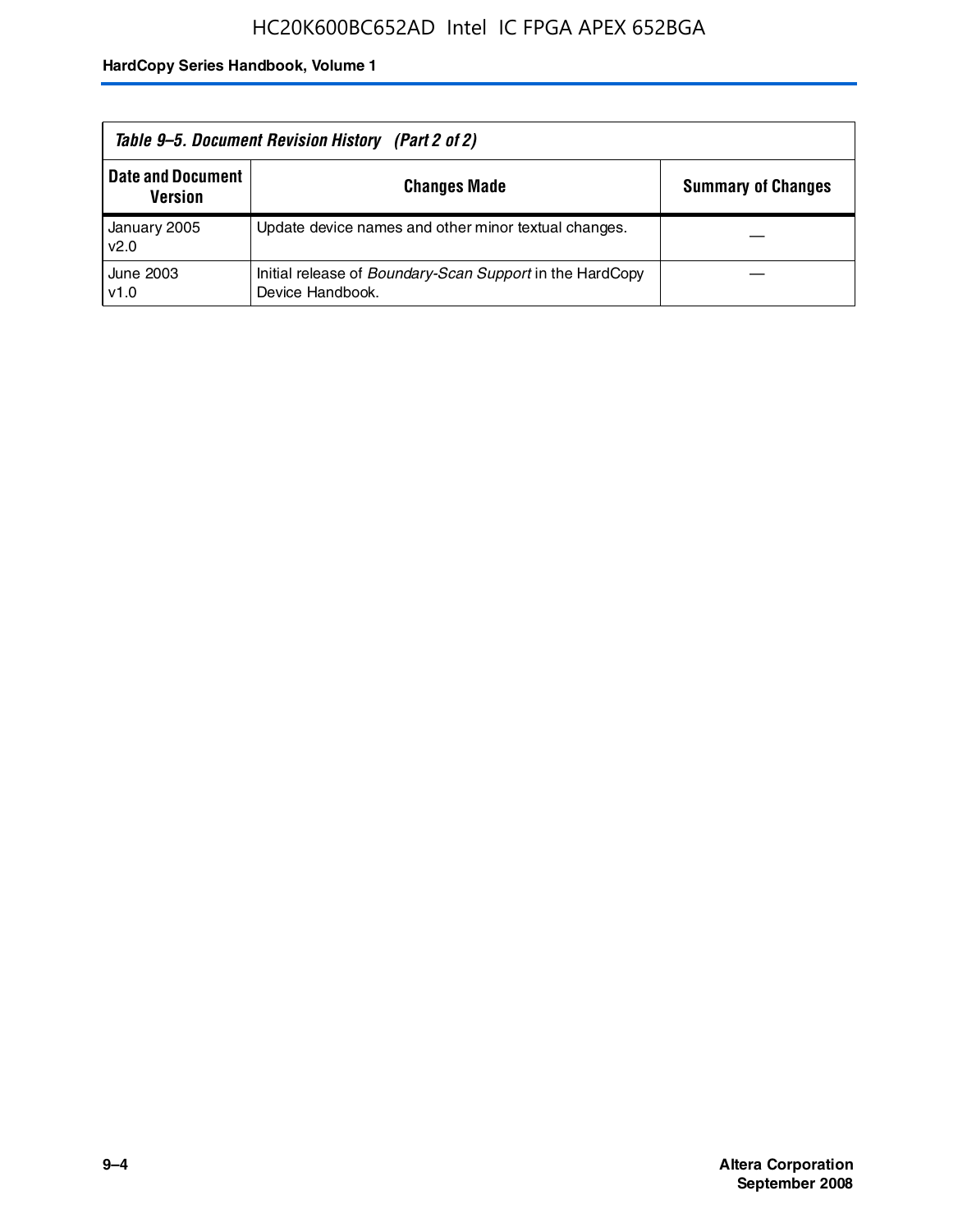| Table 9–5. Document Revision History (Part 2 of 2) |                                                                                     |                           |  |  |
|----------------------------------------------------|-------------------------------------------------------------------------------------|---------------------------|--|--|
| <b>Date and Document</b><br><b>Version</b>         | <b>Changes Made</b>                                                                 | <b>Summary of Changes</b> |  |  |
| January 2005<br>v2.0                               | Update device names and other minor textual changes.                                |                           |  |  |
| June 2003<br>v1.0                                  | Initial release of <i>Boundary-Scan Support</i> in the HardCopy<br>Device Handbook. |                           |  |  |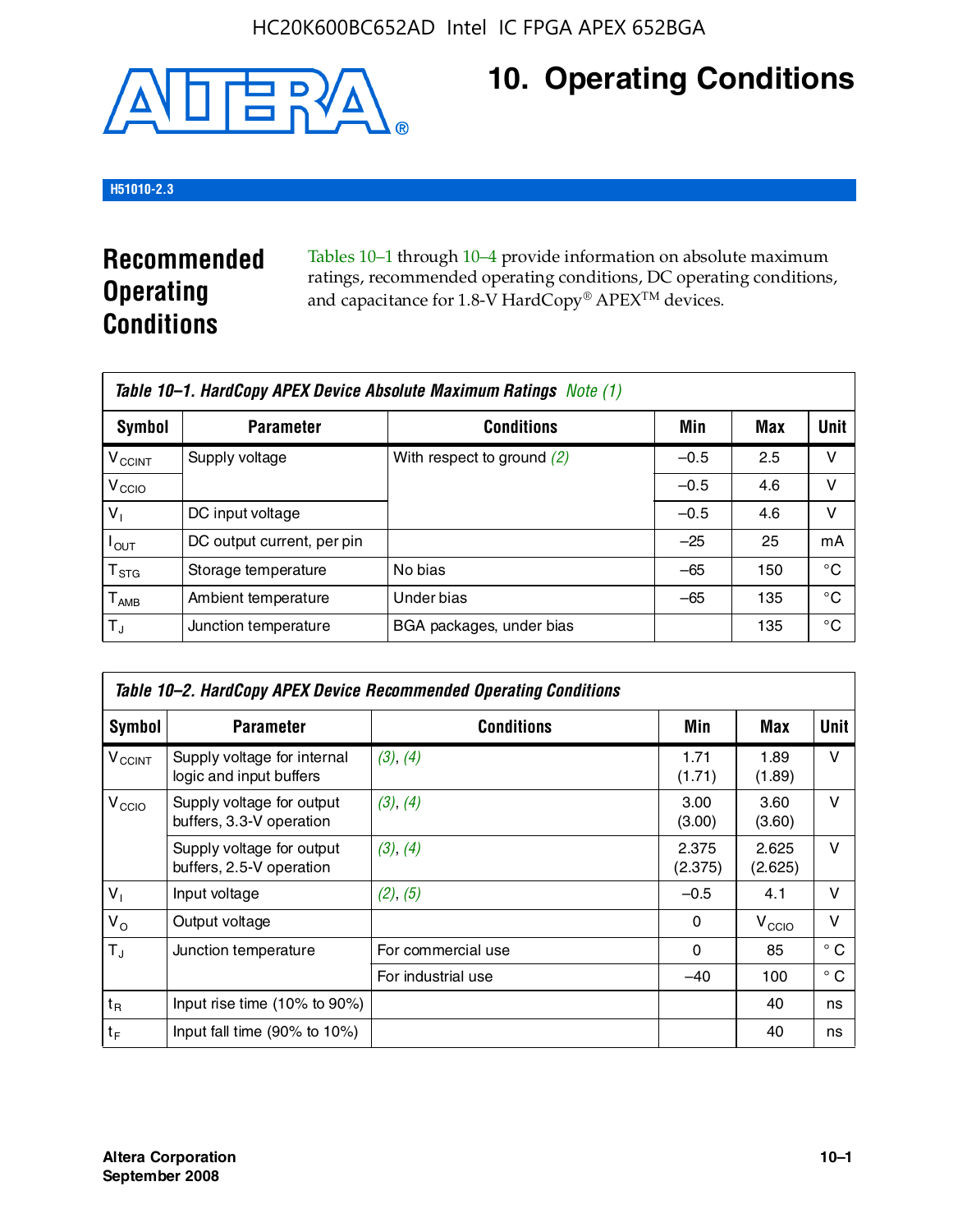

## **10. Operating Conditions**

#### **H51010-2.3**

## **Recommended Operating Conditions**

Tables 10–1 through 10–4 provide information on absolute maximum ratings, recommended operating conditions, DC operating conditions, and capacitance for 1.8-V HardCopy® APEX<sup>TM</sup> devices.

| Table 10–1. HardCopy APEX Device Absolute Maximum Ratings Note (1) |                            |                              |        |     |             |  |
|--------------------------------------------------------------------|----------------------------|------------------------------|--------|-----|-------------|--|
| Symbol                                                             | <b>Parameter</b>           | <b>Conditions</b>            | Min    | Max | <b>Unit</b> |  |
| <b>V<sub>CCINT</sub></b>                                           | Supply voltage             | With respect to ground $(2)$ | $-0.5$ | 2.5 | v           |  |
| V <sub>CCIO</sub>                                                  |                            |                              | $-0.5$ | 4.6 | ν           |  |
| $V_1$                                                              | DC input voltage           |                              | $-0.5$ | 4.6 | v           |  |
| $I_{OUT}$                                                          | DC output current, per pin |                              | $-25$  | 25  | mA          |  |
| $\mathsf{T}_{\text{STG}}$                                          | Storage temperature        | No bias                      | $-65$  | 150 | °€          |  |
| $T_{\sf AMB}$                                                      | Ambient temperature        | Under bias                   | $-65$  | 135 | °C          |  |
| $T_{\rm J}$                                                        | Junction temperature       | BGA packages, under bias     |        | 135 | °C          |  |

|                          | Table 10–2. HardCopy APEX Device Recommended Operating Conditions |                    |                  |                   |              |  |  |
|--------------------------|-------------------------------------------------------------------|--------------------|------------------|-------------------|--------------|--|--|
| Symbol                   | <b>Parameter</b>                                                  | <b>Conditions</b>  | Min              | Max               | <b>Unit</b>  |  |  |
| <b>V<sub>CCINT</sub></b> | Supply voltage for internal<br>logic and input buffers            | (3), (4)           | 1.71<br>(1.71)   | 1.89<br>(1.89)    | $\vee$       |  |  |
| V <sub>CCIO</sub>        | Supply voltage for output<br>buffers, 3.3-V operation             | (3), (4)           | 3.00<br>(3.00)   | 3.60<br>(3.60)    | $\vee$       |  |  |
|                          | Supply voltage for output<br>buffers, 2.5-V operation             | (3), (4)           | 2.375<br>(2.375) | 2.625<br>(2.625)  | $\vee$       |  |  |
| $V_1$                    | Input voltage                                                     | (2), (5)           | $-0.5$           | 4.1               | v            |  |  |
| $V_{\rm O}$              | Output voltage                                                    |                    | 0                | V <sub>CCIO</sub> | $\vee$       |  |  |
| $T_{\rm J}$              | Junction temperature                                              | For commercial use | 0                | 85                | $^{\circ}$ C |  |  |
|                          |                                                                   | For industrial use | $-40$            | 100               | $^{\circ}$ C |  |  |
| $t_{R}$                  | Input rise time (10% to 90%)                                      |                    |                  | 40                | ns           |  |  |
| $t_F$                    | Input fall time $(90\% \text{ to } 10\%)$                         |                    |                  | 40                | ns           |  |  |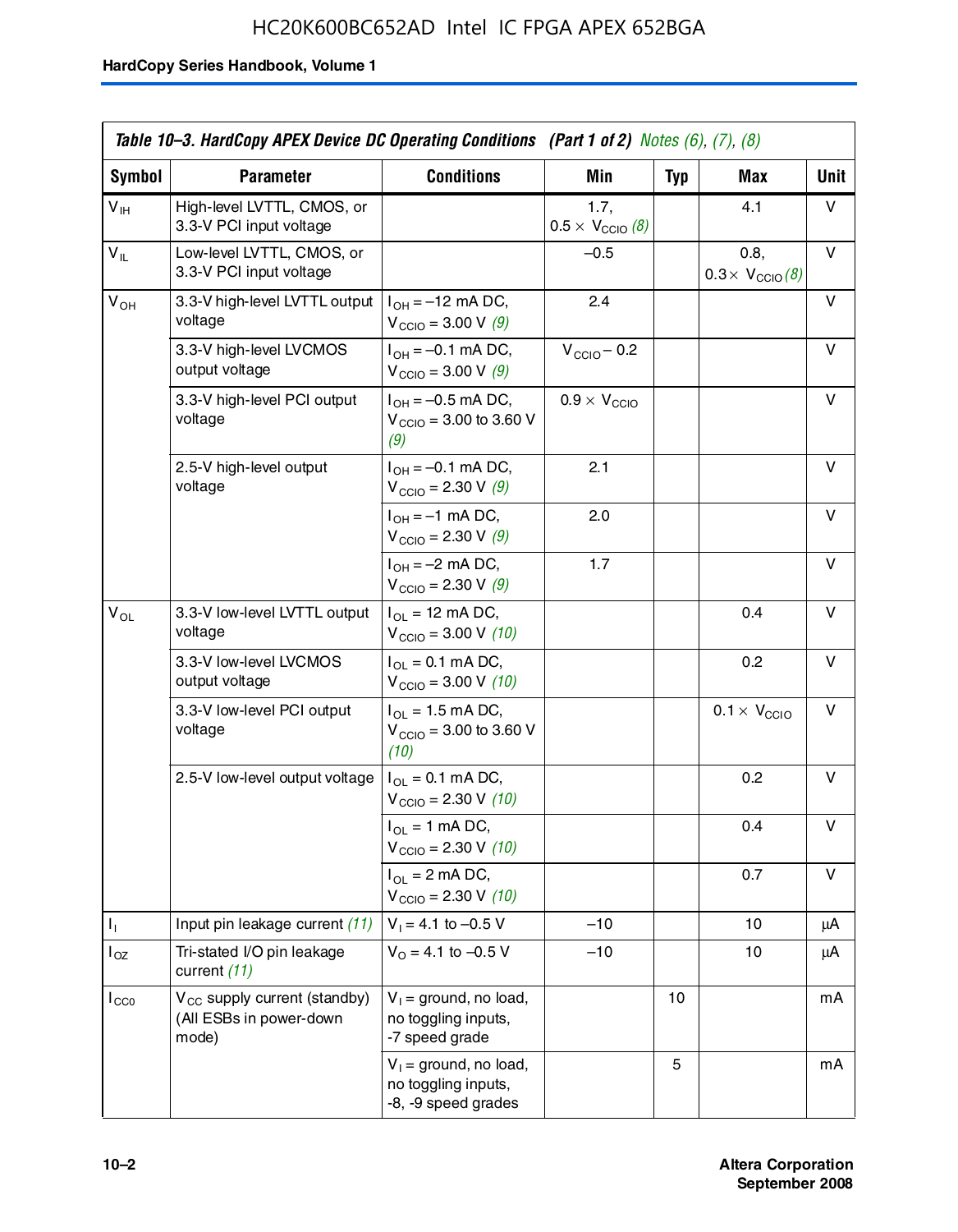## HC20K600BC652AD Intel IC FPGA APEX 652BGA

|                 | Table 10–3. HardCopy APEX Device DC Operating Conditions (Part 1 of 2) Notes (6), (7), (8) |                                                                        |                                          |            |                                         |      |  |
|-----------------|--------------------------------------------------------------------------------------------|------------------------------------------------------------------------|------------------------------------------|------------|-----------------------------------------|------|--|
| Symbol          | <b>Parameter</b>                                                                           | <b>Conditions</b>                                                      | <b>Min</b>                               | <b>Typ</b> | Max                                     | Unit |  |
| $V_{\text{IH}}$ | High-level LVTTL, CMOS, or<br>3.3-V PCI input voltage                                      |                                                                        | 1.7.<br>$0.5 \times V_{\text{CCIO}}$ (8) |            | 4.1                                     | v    |  |
| $V_{IL}$        | Low-level LVTTL, CMOS, or<br>3.3-V PCI input voltage                                       |                                                                        | $-0.5$                                   |            | 0.8,<br>$0.3 \times V_{\text{CCIO}}(8)$ | V    |  |
| $V_{OH}$        | 3.3-V high-level LVTTL output<br>voltage                                                   | $I_{OH} = -12$ mA DC,<br>$V_{\text{CCIO}} = 3.00 V (9)$                | 2.4                                      |            |                                         | v    |  |
|                 | 3.3-V high-level LVCMOS<br>output voltage                                                  | $I_{OH} = -0.1$ mA DC,<br>$V_{\text{CCIO}} = 3.00 \text{ V} (9)$       | $V_{\text{CCIO}} - 0.2$                  |            |                                         | v    |  |
|                 | 3.3-V high-level PCI output<br>voltage                                                     | $I_{OH} = -0.5$ mA DC,<br>$V_{\text{CCIO}} = 3.00$ to 3.60 V<br>(9)    | $0.9 \times V_{\text{CCIO}}$             |            |                                         | v    |  |
|                 | 2.5-V high-level output<br>voltage                                                         | $I_{OH} = -0.1$ mA DC,<br>$V_{\text{CCIO}} = 2.30 \text{ V} (9)$       | 2.1                                      |            |                                         | v    |  |
|                 |                                                                                            | $I_{OH} = -1$ mA DC,<br>$V_{\text{CCIO}} = 2.30 \text{ V} (9)$         | 2.0                                      |            |                                         | v    |  |
|                 |                                                                                            | $I_{OH} = -2$ mA DC,<br>$V_{\text{CCIO}} = 2.30 \text{ V} (9)$         | 1.7                                      |            |                                         | v    |  |
| $V_{OL}$        | 3.3-V low-level LVTTL output<br>voltage                                                    | $I_{OL}$ = 12 mA DC,<br>$V_{\text{CCIO}} = 3.00 V (10)$                |                                          |            | 0.4                                     | v    |  |
|                 | 3.3-V low-level LVCMOS<br>output voltage                                                   | $I_{OL} = 0.1$ mA DC,<br>$V_{\text{CCIO}} = 3.00 \text{ V} (10)$       |                                          |            | 0.2                                     | v    |  |
|                 | 3.3-V low-level PCI output<br>voltage                                                      | $I_{OL}$ = 1.5 mA DC,<br>$V_{\text{CCIO}} = 3.00$ to 3.60 V<br>(10)    |                                          |            | $0.1 \times V_{\text{CCIO}}$            | v    |  |
|                 | 2.5-V low-level output voltage                                                             | $I_{OL} = 0.1$ mA DC,<br>$V_{\text{CCIO}} = 2.30 \text{ V} (10)$       |                                          |            | 0.2                                     | v    |  |
|                 |                                                                                            | $I_{OL}$ = 1 mA DC,<br>$V_{\text{CCIO}} = 2.30 V (10)$                 |                                          |            | 0.4                                     | v    |  |
|                 |                                                                                            | $I_{OL}$ = 2 mA DC,<br>$V_{\text{CCIO}} = 2.30 V (10)$                 |                                          |            | 0.7                                     | v    |  |
| Τ,              | Input pin leakage current (11)                                                             | $V_1 = 4.1$ to $-0.5$ V                                                | $-10$                                    |            | 10                                      | μA   |  |
| $I_{OZ}$        | Tri-stated I/O pin leakage<br>current (11)                                                 | $V_0 = 4.1$ to -0.5 V                                                  | $-10$                                    |            | 10                                      | μA   |  |
| $I_{CC0}$       | $V_{CC}$ supply current (standby)<br>(All ESBs in power-down<br>mode)                      | $V_1$ = ground, no load,<br>no toggling inputs,<br>-7 speed grade      |                                          | 10         |                                         | mA   |  |
|                 |                                                                                            | $V_1$ = ground, no load,<br>no toggling inputs,<br>-8, -9 speed grades |                                          | 5          |                                         | mA   |  |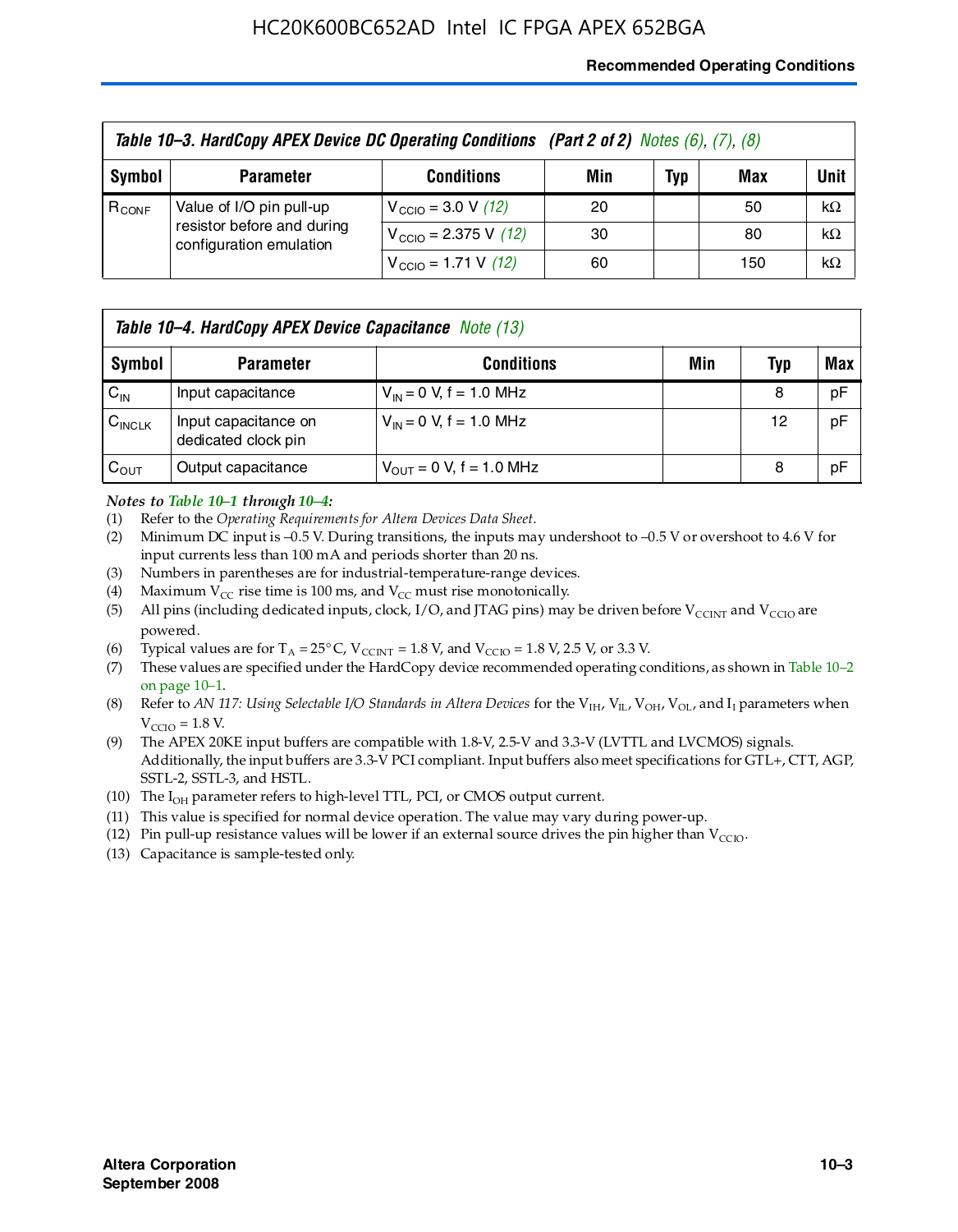#### **Recommended Operating Conditions**

| Table 10-3. HardCopy APEX Device DC Operating Conditions (Part 2 of 2) Notes (6), (7), (8) |                                                                                   |                                          |     |     |     |           |  |
|--------------------------------------------------------------------------------------------|-----------------------------------------------------------------------------------|------------------------------------------|-----|-----|-----|-----------|--|
| Symbol                                                                                     | <b>Parameter</b>                                                                  | <b>Conditions</b>                        | Min | Typ | Max | Unit      |  |
| $R_{CONF}$                                                                                 | Value of I/O pin pull-up<br>resistor before and during<br>configuration emulation | $V_{\text{CCIO}} = 3.0 V (12)$           | 20  |     | 50  | $k\Omega$ |  |
|                                                                                            |                                                                                   | $V_{\text{CCIO}} = 2.375 \text{ V}$ (12) | 30  |     | 80  | $k\Omega$ |  |
|                                                                                            |                                                                                   | $V_{\text{CCIO}} = 1.71 \text{ V}$ (12)  | 60  |     | 150 | $k\Omega$ |  |

|                    | <b>Table 10–4. HardCopy APEX Device Capacitance</b> Note (13) |                                     |     |     |     |  |  |
|--------------------|---------------------------------------------------------------|-------------------------------------|-----|-----|-----|--|--|
| Symbol             | <b>Parameter</b>                                              | <b>Conditions</b>                   | Min | Typ | Max |  |  |
| $C_{\text{IN}}$    | Input capacitance                                             | $V_{IN} = 0$ V, f = 1.0 MHz         |     | 8   | pF  |  |  |
| $C_{\text{INCLK}}$ | Input capacitance on<br>dedicated clock pin                   | $V_{IN} = 0$ V, f = 1.0 MHz         |     | 12  | pF  |  |  |
| $C_{OUT}$          | Output capacitance                                            | $V_{\text{OUT}} = 0$ V, f = 1.0 MHz |     | 8   | pF  |  |  |

#### *Notes to Table 10–1 through 10–4:*

- (1) Refer to the *Operating Requirements for Altera Devices Data Sheet*.
- (2) Minimum DC input is –0.5 V. During transitions, the inputs may undershoot to –0.5 V or overshoot to 4.6 V for input currents less than 100 mA and periods shorter than 20 ns.
- (3) Numbers in parentheses are for industrial-temperature-range devices.
- (4) Maximum  $V_{CC}$  rise time is 100 ms, and  $V_{CC}$  must rise monotonically.
- (5) All pins (including dedicated inputs, clock, I/O, and JTAG pins) may be driven before  $V_{\text{CCINT}}$  and  $V_{\text{CCIO}}$  are powered.
- (6) Typical values are for  $T_A = 25^{\circ}$  C,  $V_{CCTNT} = 1.8$  V, and  $V_{CCTO} = 1.8$  V, 2.5 V, or 3.3 V.
- (7) These values are specified under the HardCopy device recommended operating conditions, as shown in Table 10–2 on page 10–1.
- (8) Refer to *AN 117: Using Selectable I/O Standards in Altera Devices* for the V<sub>IH</sub>, V<sub>IL</sub>, V<sub>OH</sub>, V<sub>OL</sub>, and I<sub>I</sub> parameters when  $V_{\text{CCIO}} = 1.8 \text{ V}$ .
- (9) The APEX 20KE input buffers are compatible with 1.8-V, 2.5-V and 3.3-V (LVTTL and LVCMOS) signals. Additionally, the input buffers are 3.3-V PCI compliant. Input buffers also meet specifications for GTL+, CTT, AGP, SSTL-2, SSTL-3, and HSTL.
- (10) The  $I_{OH}$  parameter refers to high-level TTL, PCI, or CMOS output current.
- (11) This value is specified for normal device operation. The value may vary during power-up.
- (12) Pin pull-up resistance values will be lower if an external source drives the pin higher than  $V_{CCIO}$ .
- (13) Capacitance is sample-tested only.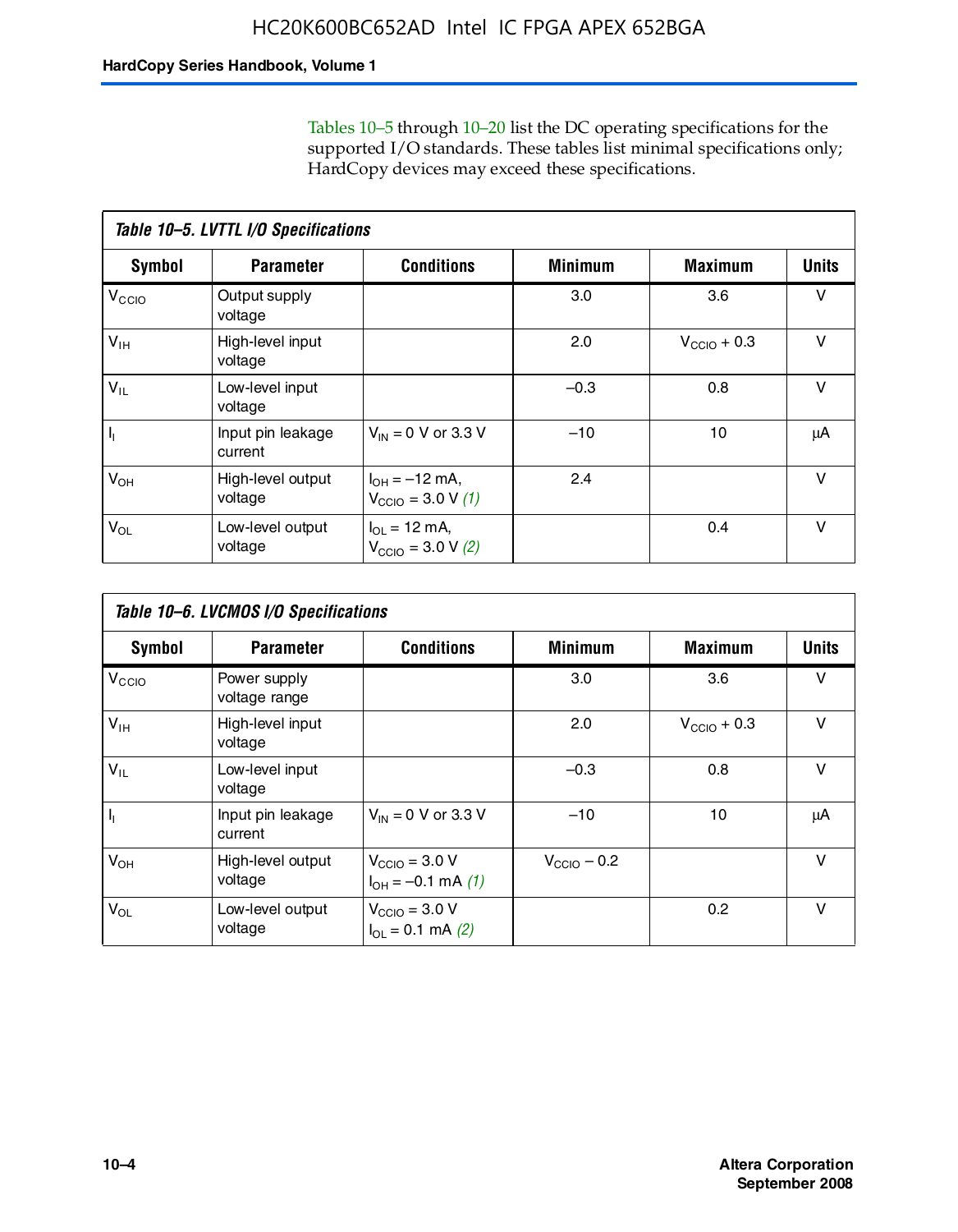Tables 10–5 through 10–20 list the DC operating specifications for the supported I/O standards. These tables list minimal specifications only; HardCopy devices may exceed these specifications.

|                           | Table 10-5. LVTTL I/O Specifications |                                                                 |                |                         |              |  |  |  |  |
|---------------------------|--------------------------------------|-----------------------------------------------------------------|----------------|-------------------------|--------------|--|--|--|--|
| Symbol                    | <b>Parameter</b>                     | <b>Conditions</b>                                               | <b>Minimum</b> | <b>Maximum</b>          | <b>Units</b> |  |  |  |  |
| $V_{\text{CCIO}}$         | Output supply<br>voltage             |                                                                 | 3.0            | 3.6                     | $\vee$       |  |  |  |  |
| $V_{\text{IH}}$           | High-level input<br>voltage          |                                                                 | 2.0            | $V_{\text{CCIO}} + 0.3$ | $\vee$       |  |  |  |  |
| $V_{IL}$                  | Low-level input<br>voltage           |                                                                 | $-0.3$         | 0.8                     | v            |  |  |  |  |
| $\mathsf{I}_{\mathsf{I}}$ | Input pin leakage<br>current         | $V_{IN} = 0$ V or 3.3 V                                         | $-10$          | 10                      | μA           |  |  |  |  |
| $V_{OH}$                  | High-level output<br>voltage         | $I_{OH} = -12$ mA,<br>$V_{\text{CCIO}} = 3.0 V(1)$              | 2.4            |                         | v            |  |  |  |  |
| $V_{OL}$                  | Low-level output<br>voltage          | $I_{\Omega I} = 12 \text{ mA}$<br>$V_{\text{CCIO}} = 3.0 V (2)$ |                | 0.4                     | $\vee$       |  |  |  |  |

|                   | Table 10-6. LVCMOS I/O Specifications |                                                                   |                         |                         |              |  |  |  |  |
|-------------------|---------------------------------------|-------------------------------------------------------------------|-------------------------|-------------------------|--------------|--|--|--|--|
| <b>Symbol</b>     | <b>Parameter</b>                      | <b>Conditions</b>                                                 | <b>Minimum</b>          | <b>Maximum</b>          | <b>Units</b> |  |  |  |  |
| V <sub>CCIO</sub> | Power supply<br>voltage range         |                                                                   | 3.0                     | 3.6                     | v            |  |  |  |  |
| $V_{\text{IH}}$   | High-level input<br>voltage           |                                                                   | 2.0                     | $V_{\text{CCIO}} + 0.3$ | $\vee$       |  |  |  |  |
| $V_{IL}$          | Low-level input<br>voltage            |                                                                   | $-0.3$                  | 0.8                     | $\vee$       |  |  |  |  |
| H,                | Input pin leakage<br>current          | $V_{IN} = 0$ V or 3.3 V                                           | $-10$                   | 10                      | μA           |  |  |  |  |
| $V_{OH}$          | High-level output<br>voltage          | $V_{\text{CCIO}} = 3.0 V$<br>$I_{OH} = -0.1$ mA $(1)$             | $V_{\text{CCIO}} - 0.2$ |                         | $\vee$       |  |  |  |  |
| $V_{OL}$          | Low-level output<br>voltage           | $V_{\text{CCIO}} = 3.0 V$<br>$I_{\text{OL}} = 0.1 \text{ mA}$ (2) |                         | 0.2                     | $\vee$       |  |  |  |  |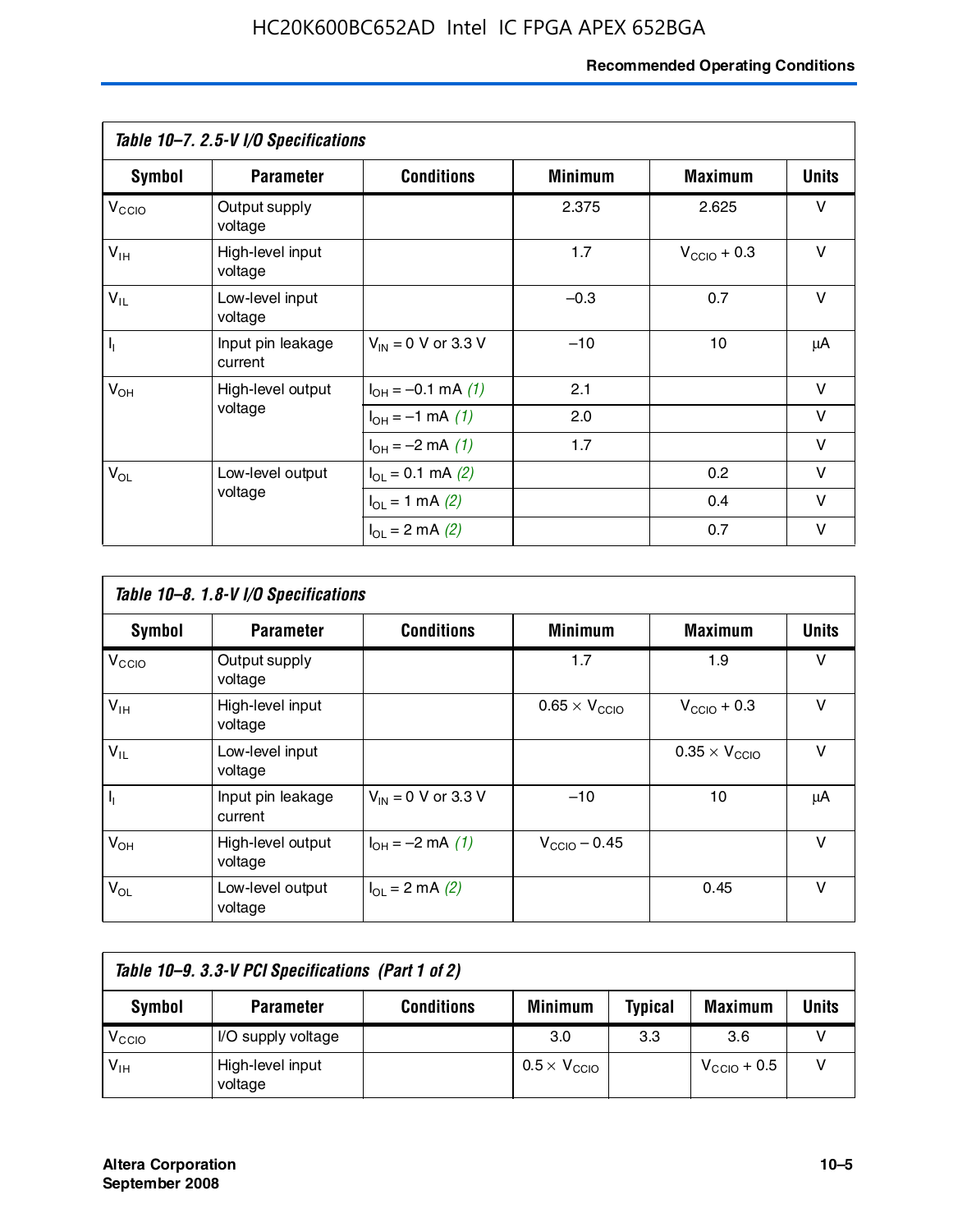#### **Recommended Operating Conditions**

|                         | Table 10-7. 2.5-V I/O Specifications |                             |                |                         |              |
|-------------------------|--------------------------------------|-----------------------------|----------------|-------------------------|--------------|
| Symbol                  | <b>Parameter</b>                     | <b>Conditions</b>           | <b>Minimum</b> | <b>Maximum</b>          | <b>Units</b> |
| V <sub>CCIO</sub>       | Output supply<br>voltage             |                             | 2.375          | 2.625                   | v            |
| $V_{\text{IH}}$         | High-level input<br>voltage          |                             | 1.7            | $V_{\text{CCIO}} + 0.3$ | $\vee$       |
| $V_{IL}$                | Low-level input<br>voltage           |                             | $-0.3$         | 0.7                     | $\vee$       |
| $\mathsf{I}_\mathsf{I}$ | Input pin leakage<br>current         | $V_{IN} = 0$ V or 3.3 V     | $-10$          | 10                      | μA           |
| $V_{OH}$                | High-level output                    | $I_{OH} = -0.1$ mA $(1)$    | 2.1            |                         | $\vee$       |
|                         | voltage                              | $I_{OH} = -1$ mA (1)        | 2.0            |                         | V            |
|                         |                                      | $I_{OH} = -2$ mA (1)        | 1.7            |                         | v            |
| $V_{OL}$                | Low-level output                     | $I_{\Omega} = 0.1$ mA $(2)$ |                | 0.2                     | v            |
|                         | voltage                              | $I_{OL} = 1$ mA (2)         |                | 0.4                     | $\vee$       |
|                         |                                      | $I_{OL} = 2$ mA (2)         |                | 0.7                     | v            |

|                   | Table 10-8. 1.8-V I/O Specifications |                         |                               |                               |              |  |  |  |  |
|-------------------|--------------------------------------|-------------------------|-------------------------------|-------------------------------|--------------|--|--|--|--|
| Symbol            | <b>Parameter</b>                     | <b>Conditions</b>       | <b>Minimum</b>                | <b>Maximum</b>                | <b>Units</b> |  |  |  |  |
| $V_{\text{CCIO}}$ | Output supply<br>voltage             |                         | 1.7                           | 1.9                           | $\vee$       |  |  |  |  |
| $V_{\text{IH}}$   | High-level input<br>voltage          |                         | $0.65 \times V_{\text{CCIO}}$ | $V_{\text{CCIO}} + 0.3$       | v            |  |  |  |  |
| $V_{IL}$          | Low-level input<br>voltage           |                         |                               | $0.35 \times V_{\text{CCIO}}$ | $\vee$       |  |  |  |  |
| $\mathbf{l}_{1}$  | Input pin leakage<br>current         | $V_{IN} = 0$ V or 3.3 V | $-10$                         | 10                            | μA           |  |  |  |  |
| $V_{OH}$          | High-level output<br>voltage         | $I_{OH} = -2$ mA (1)    | $V_{\text{CCIO}} - 0.45$      |                               | v            |  |  |  |  |
| $V_{OL}$          | Low-level output<br>voltage          | $I_{\Omega}$ = 2 mA (2) |                               | 0.45                          | $\vee$       |  |  |  |  |

| Table 10-9. 3.3-V PCI Specifications (Part 1 of 2) |                             |                   |                              |                |                         |       |  |
|----------------------------------------------------|-----------------------------|-------------------|------------------------------|----------------|-------------------------|-------|--|
| Symbol                                             | <b>Parameter</b>            | <b>Conditions</b> | <b>Minimum</b>               | <b>Typical</b> | <b>Maximum</b>          | Units |  |
| V <sub>CIO</sub>                                   | I/O supply voltage          |                   | 3.0                          | 3.3            | 3.6                     |       |  |
| $V_{\text{IH}}$                                    | High-level input<br>voltage |                   | $0.5 \times V_{\text{CCIO}}$ |                | $V_{\text{CCIO}} + 0.5$ |       |  |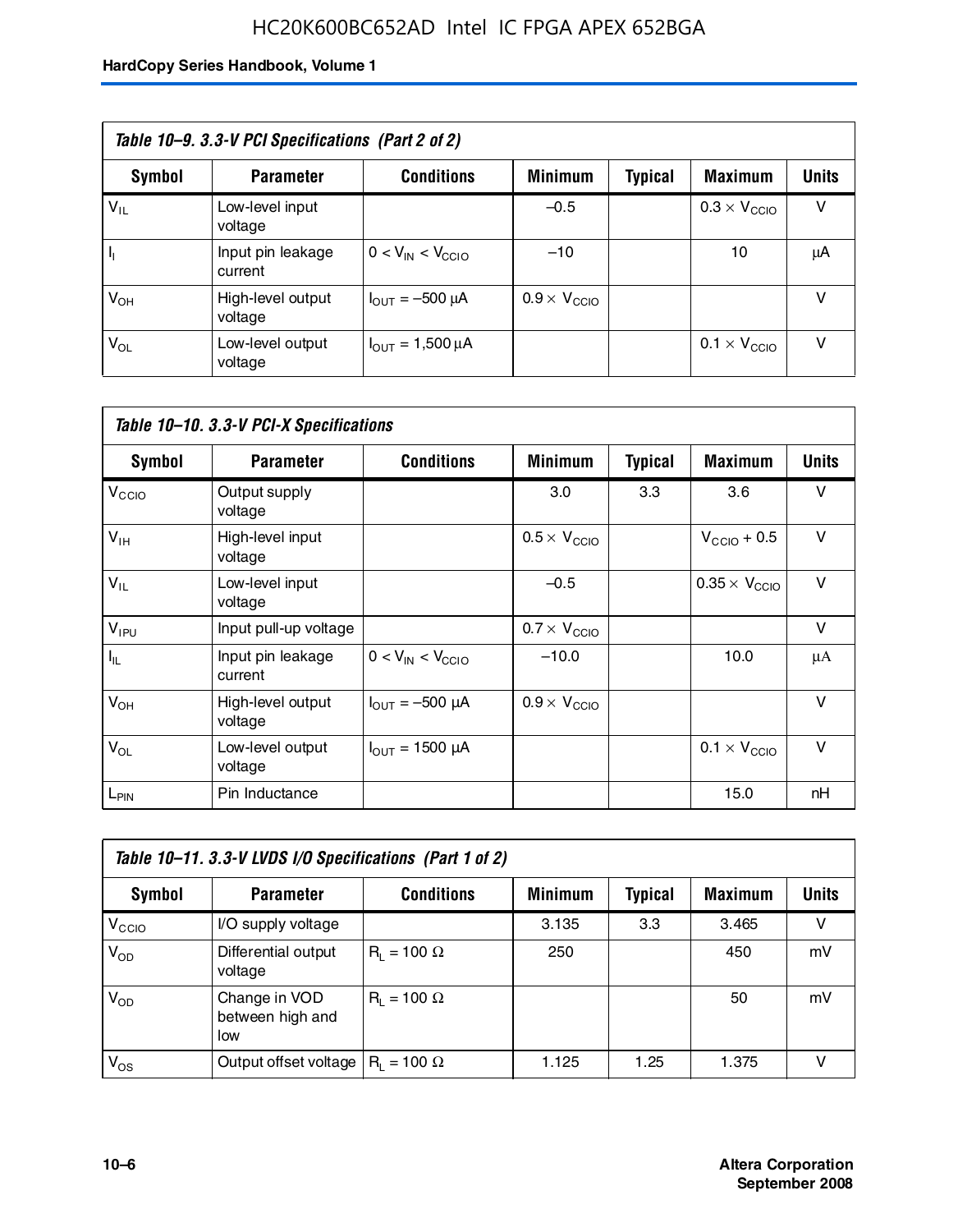## HC20K600BC652AD Intel IC FPGA APEX 652BGA

| Table 10–9. 3.3-V PCI Specifications (Part 2 of 2) |                              |                                        |                              |         |                              |              |  |
|----------------------------------------------------|------------------------------|----------------------------------------|------------------------------|---------|------------------------------|--------------|--|
| Symbol                                             | <b>Parameter</b>             | <b>Conditions</b>                      | <b>Minimum</b>               | Typical | <b>Maximum</b>               | <b>Units</b> |  |
| $V_{IL}$                                           | Low-level input<br>voltage   |                                        | $-0.5$                       |         | $0.3 \times V_{\text{CCIO}}$ | v            |  |
|                                                    | Input pin leakage<br>current | $0 < V_{IN} < V_{CCIO}$                | $-10$                        |         | 10                           | μA           |  |
| $V_{OH}$                                           | High-level output<br>voltage | $I_{\text{OUT}} = -500 \mu A$          | $0.9 \times V_{\text{CCIO}}$ |         |                              | v            |  |
| $V_{OL}$                                           | Low-level output<br>voltage  | $I_{\text{OUT}} = 1,500 \,\mu\text{A}$ |                              |         | $0.1 \times V_{\text{CCIO}}$ | v            |  |

| Table 10-10. 3.3-V PCI-X Specifications |                              |                               |                              |                |                               |              |  |
|-----------------------------------------|------------------------------|-------------------------------|------------------------------|----------------|-------------------------------|--------------|--|
| Symbol                                  | <b>Parameter</b>             | <b>Conditions</b>             | <b>Minimum</b>               | <b>Typical</b> | <b>Maximum</b>                | <b>Units</b> |  |
| V <sub>CCIO</sub>                       | Output supply<br>voltage     |                               | 3.0                          | 3.3            | 3.6                           | v            |  |
| $V_{\text{IH}}$                         | High-level input<br>voltage  |                               | $0.5 \times V_{\text{CCIO}}$ |                | $V_{\text{CCIO}} + 0.5$       | $\vee$       |  |
| $V_{IL}$                                | Low-level input<br>voltage   |                               | $-0.5$                       |                | $0.35 \times V_{\text{CCIO}}$ | $\vee$       |  |
| $V_{IPU}$                               | Input pull-up voltage        |                               | $0.7 \times V_{\text{CCIO}}$ |                |                               | v            |  |
| $I_{\rm IL}$                            | Input pin leakage<br>current | $0 < V_{IN} < V_{CC10}$       | $-10.0$                      |                | 10.0                          | μA           |  |
| $V_{OH}$                                | High-level output<br>voltage | $I_{\text{OUT}} = -500 \mu A$ | $0.9 \times V_{\text{CCIO}}$ |                |                               | $\vee$       |  |
| $V_{OL}$                                | Low-level output<br>voltage  | $I_{\text{OUT}} = 1500 \mu A$ |                              |                | $0.1 \times V_{\text{CCIO}}$  | $\vee$       |  |
| $L_{\text{PIN}}$                        | Pin Inductance               |                               |                              |                | 15.0                          | nH           |  |

| Table 10-11. 3.3-V LVDS I/O Specifications (Part 1 of 2) |                                          |                    |                |                |                |              |  |
|----------------------------------------------------------|------------------------------------------|--------------------|----------------|----------------|----------------|--------------|--|
| Symbol                                                   | <b>Parameter</b>                         | <b>Conditions</b>  | <b>Minimum</b> | <b>Typical</b> | <b>Maximum</b> | <b>Units</b> |  |
| V <sub>CIO</sub>                                         | I/O supply voltage                       |                    | 3.135          | 3.3            | 3.465          | v            |  |
| $V_{OD}$                                                 | Differential output<br>voltage           | $R_i = 100 \Omega$ | 250            |                | 450            | mV           |  |
| $V_{OD}$                                                 | Change in VOD<br>between high and<br>low | $R_1 = 100 \Omega$ |                |                | 50             | mV           |  |
| $V_{OS}$                                                 | Output offset voltage                    | $R_i = 100 \Omega$ | 1.125          | 1.25           | 1.375          | v            |  |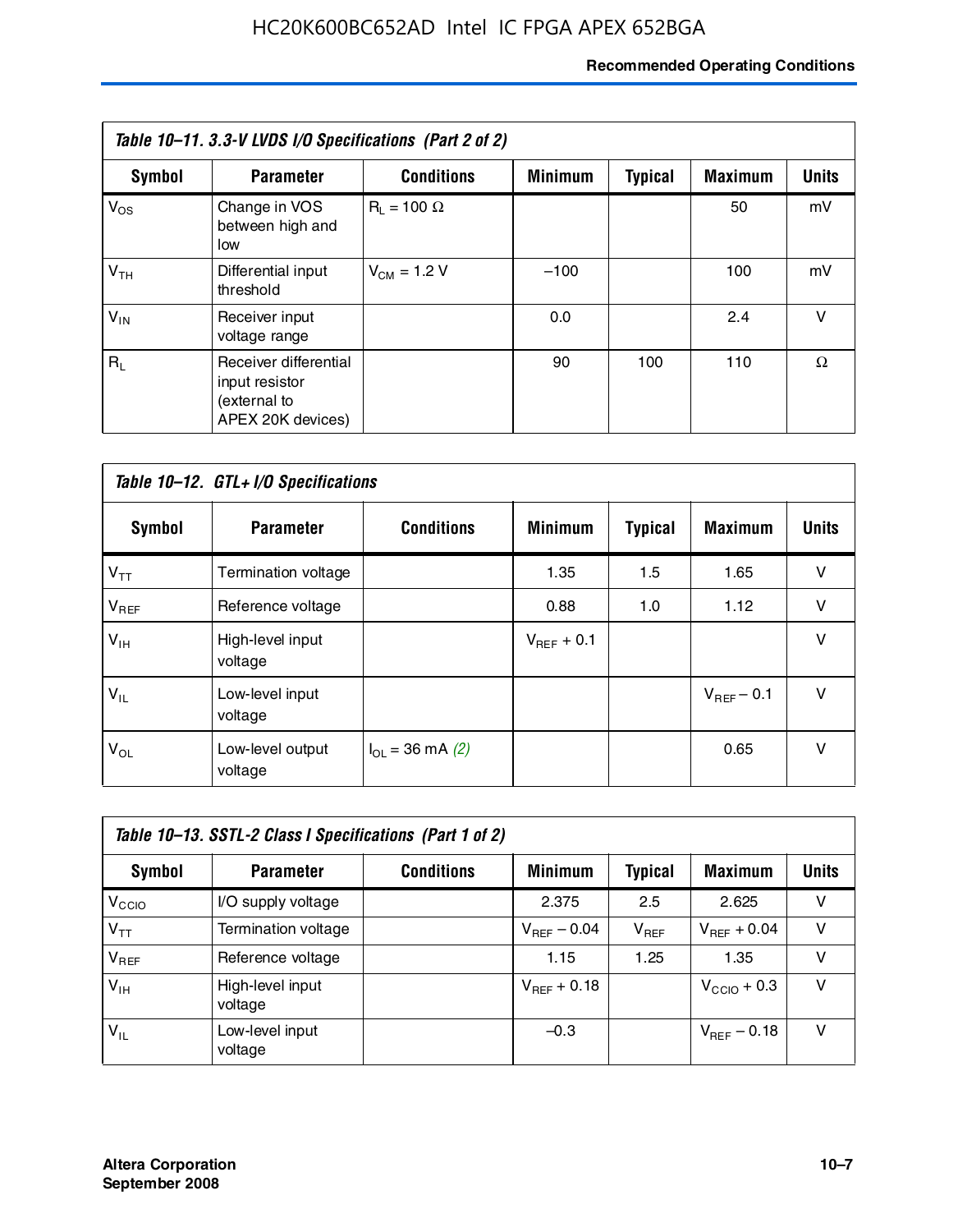#### **Recommended Operating Conditions**

| Table 10–11. 3.3-V LVDS I/O Specifications (Part 2 of 2) |                                                                              |                    |                |                |                |              |  |
|----------------------------------------------------------|------------------------------------------------------------------------------|--------------------|----------------|----------------|----------------|--------------|--|
| Symbol                                                   | <b>Parameter</b>                                                             | <b>Conditions</b>  | <b>Minimum</b> | <b>Typical</b> | <b>Maximum</b> | <b>Units</b> |  |
| $V_{OS}$                                                 | Change in VOS<br>between high and<br>low                                     | $R_1 = 100 \Omega$ |                |                | 50             | mV           |  |
| V <sub>TH</sub>                                          | Differential input<br>threshold                                              | $V_{CM}$ = 1.2 V   | $-100$         |                | 100            | mV           |  |
| $V_{IN}$                                                 | Receiver input<br>voltage range                                              |                    | 0.0            |                | 2.4            | v            |  |
| $R_1$                                                    | Receiver differential<br>input resistor<br>(external to<br>APEX 20K devices) |                    | 90             | 100            | 110            | Ω            |  |

| Table 10-12. GTL+ I/O Specifications |                             |                          |                 |                |                 |              |  |
|--------------------------------------|-----------------------------|--------------------------|-----------------|----------------|-----------------|--------------|--|
| <b>Symbol</b>                        | <b>Parameter</b>            | <b>Conditions</b>        | <b>Minimum</b>  | <b>Typical</b> | <b>Maximum</b>  | <b>Units</b> |  |
| $V_{TT}$                             | Termination voltage         |                          | 1.35            | 1.5            | 1.65            | v            |  |
| $V_{REF}$                            | Reference voltage           |                          | 0.88            | 1.0            | 1.12            | v            |  |
| $V_{IH}$                             | High-level input<br>voltage |                          | $V_{REF}$ + 0.1 |                |                 | $\vee$       |  |
| $V_{IL}$                             | Low-level input<br>voltage  |                          |                 |                | $V_{BFF}$ – 0.1 | $\vee$       |  |
| $V_{OL}$                             | Low-level output<br>voltage | $I_{\Omega}$ = 36 mA (2) |                 |                | 0.65            | v            |  |

| Table 10–13. SSTL-2 Class I Specifications (Part 1 of 2) |                             |                   |                         |           |                         |              |  |
|----------------------------------------------------------|-----------------------------|-------------------|-------------------------|-----------|-------------------------|--------------|--|
| Symbol                                                   | <b>Parameter</b>            | <b>Conditions</b> | <b>Minimum</b>          | Typical   | <b>Maximum</b>          | <b>Units</b> |  |
| V <sub>CCIO</sub>                                        | I/O supply voltage          |                   | 2.375                   | 2.5       | 2.625                   | v            |  |
| $V_{TT}$                                                 | Termination voltage         |                   | $V_{\text{BFE}} - 0.04$ | $V_{REF}$ | $V_{BFF}$ + 0.04        | v            |  |
| $V_{REF}$                                                | Reference voltage           |                   | 1.15                    | 1.25      | 1.35                    | v            |  |
| $V_{IH}$                                                 | High-level input<br>voltage |                   | $V_{REF}$ + 0.18        |           | $V_{\text{CCIO}} + 0.3$ | v            |  |
| $V_{IL}$                                                 | Low-level input<br>voltage  |                   | $-0.3$                  |           | $V_{BFE} = 0.18$        | v            |  |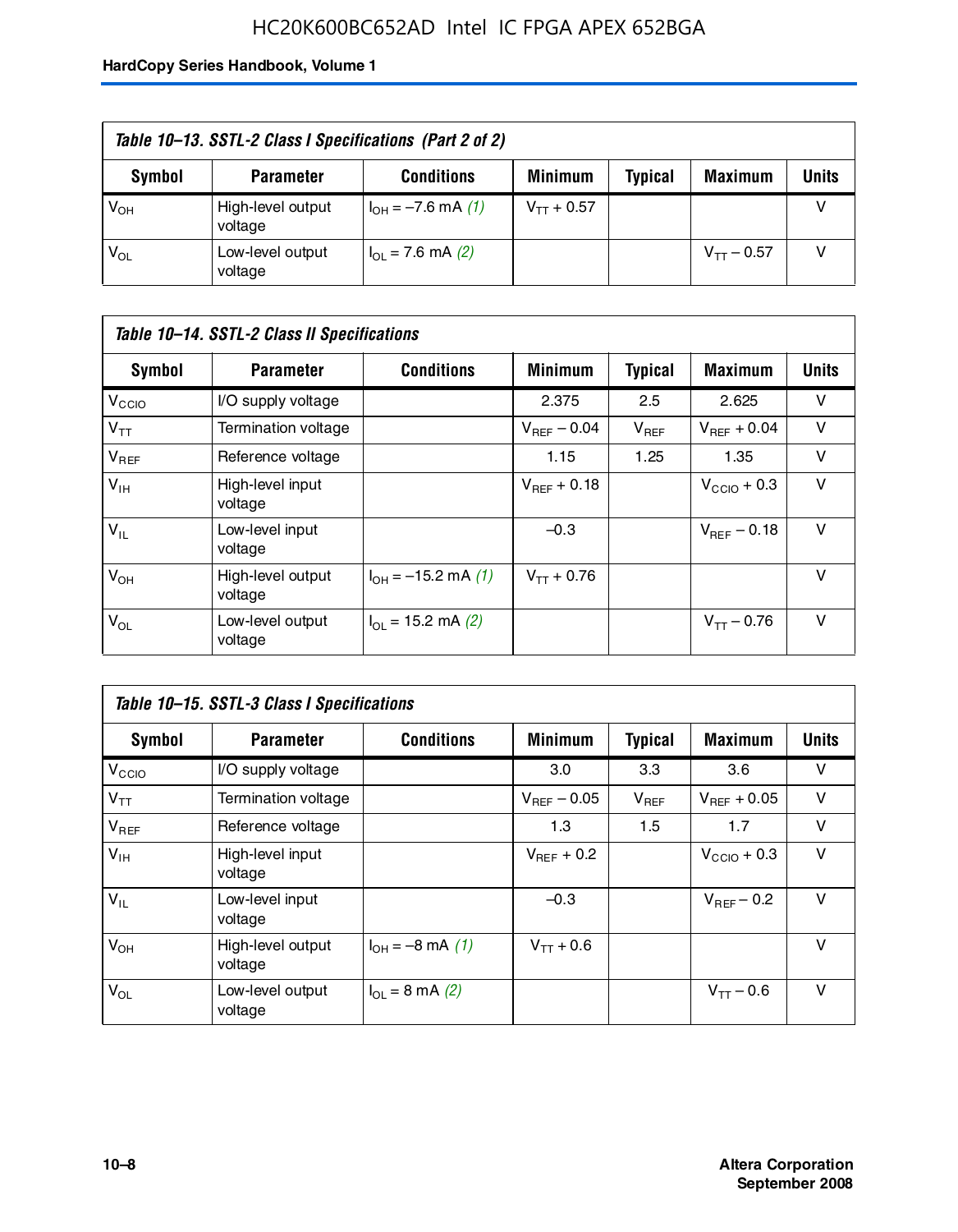## HC20K600BC652AD Intel IC FPGA APEX 652BGA

| Table 10–13. SSTL-2 Class I Specifications (Part 2 of 2) |                              |                           |                 |                |                 |              |  |
|----------------------------------------------------------|------------------------------|---------------------------|-----------------|----------------|-----------------|--------------|--|
| Symbol                                                   | <b>Parameter</b>             | <b>Conditions</b>         | <b>Minimum</b>  | <b>Typical</b> | <b>Maximum</b>  | <b>Units</b> |  |
| $V_{OH}$                                                 | High-level output<br>voltage | $I_{OH} = -7.6$ mA (1)    | $V_{TT}$ + 0.57 |                |                 |              |  |
| $V_{OL}$                                                 | Low-level output<br>voltage  | $I_{\Omega}$ = 7.6 mA (2) |                 |                | $V_{TT}$ – 0.57 |              |  |

| Table 10–14. SSTL-2 Class II Specifications |                              |                                       |                         |                |                  |              |  |
|---------------------------------------------|------------------------------|---------------------------------------|-------------------------|----------------|------------------|--------------|--|
| <b>Symbol</b>                               | <b>Parameter</b>             | <b>Conditions</b>                     | <b>Minimum</b>          | <b>Typical</b> | <b>Maximum</b>   | <b>Units</b> |  |
| V <sub>CCIO</sub>                           | I/O supply voltage           |                                       | 2.375                   | 2.5            | 2.625            | v            |  |
| $V_{TT}$                                    | <b>Termination voltage</b>   |                                       | $V_{\text{BFE}} - 0.04$ | $V_{REF}$      | $V_{BFF}$ + 0.04 | v            |  |
| $V_{REF}$                                   | Reference voltage            |                                       | 1.15                    | 1.25           | 1.35             | v            |  |
| $V_{IH}$                                    | High-level input<br>voltage  |                                       | $V_{BFF}$ + 0.18        |                | $V_{CCD}$ + 0.3  | v            |  |
| $V_{IL}$                                    | Low-level input<br>voltage   |                                       | $-0.3$                  |                | $V_{BFE} = 0.18$ | v            |  |
| $V_{OH}$                                    | High-level output<br>voltage | $I_{OH} = -15.2$ mA (1)               | $V_{TT}$ + 0.76         |                |                  | v            |  |
| $V_{OL}$                                    | Low-level output<br>voltage  | $I_{\text{O1}} = 15.2 \text{ mA} (2)$ |                         |                | $V_{TT} - 0.76$  | $\vee$       |  |

| Table 10–15. SSTL-3 Class I Specifications |                              |                                 |                         |                |                         |              |  |
|--------------------------------------------|------------------------------|---------------------------------|-------------------------|----------------|-------------------------|--------------|--|
| <b>Symbol</b>                              | <b>Parameter</b>             | <b>Conditions</b>               | <b>Minimum</b>          | <b>Typical</b> | <b>Maximum</b>          | <b>Units</b> |  |
| V <sub>CCIO</sub>                          | I/O supply voltage           |                                 | 3.0                     | 3.3            | 3.6                     | v            |  |
| $V_{TT}$                                   | Termination voltage          |                                 | $V_{\text{BFE}} - 0.05$ | $V_{REF}$      | $V_{REF}$ + 0.05        | v            |  |
| $V_{REF}$                                  | Reference voltage            |                                 | 1.3                     | 1.5            | 1.7                     | v            |  |
| $V_{\text{IH}}$                            | High-level input<br>voltage  |                                 | $V_{BFF}$ + 0.2         |                | $V_{\text{CCIO}} + 0.3$ | v            |  |
| $V_{IL}$                                   | Low-level input<br>voltage   |                                 | $-0.3$                  |                | $V_{\text{BFF}}$ – 0.2  | v            |  |
| $V_{OH}$                                   | High-level output<br>voltage | $I_{OH} = -8 \text{ mA}$ (1)    | $V_{TT} + 0.6$          |                |                         | v            |  |
| $V_{OL}$                                   | Low-level output<br>voltage  | $I_{\Omega} = 8 \text{ mA}$ (2) |                         |                | $V_{TT} - 0.6$          | v            |  |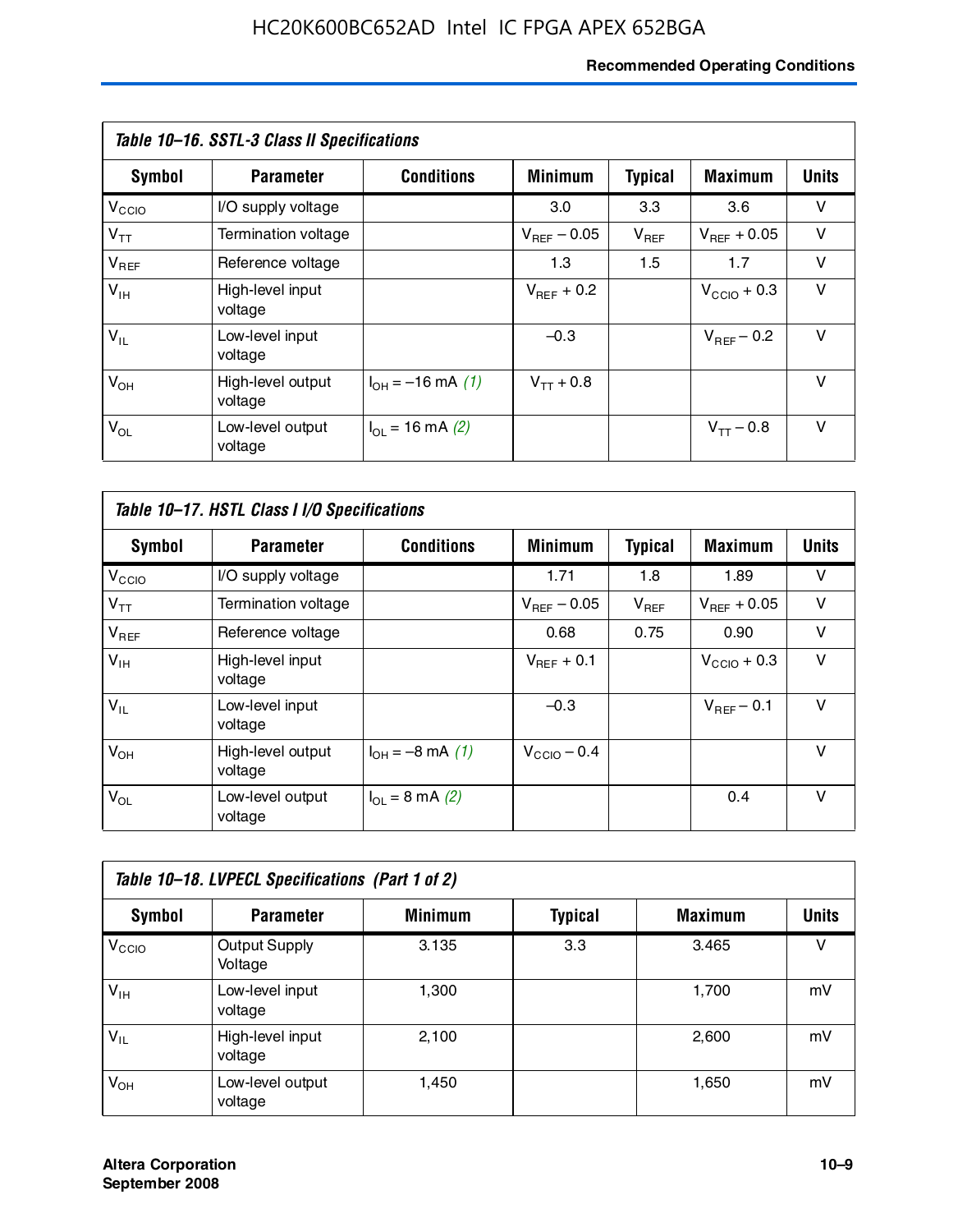#### **Recommended Operating Conditions**

| Table 10–16. SSTL-3 Class II Specifications |                              |                             |                         |                |                        |              |  |
|---------------------------------------------|------------------------------|-----------------------------|-------------------------|----------------|------------------------|--------------|--|
| Symbol                                      | <b>Parameter</b>             | <b>Conditions</b>           | <b>Minimum</b>          | <b>Typical</b> | <b>Maximum</b>         | <b>Units</b> |  |
| $V_{\rm CCIO}$                              | I/O supply voltage           |                             | 3.0                     | 3.3            | 3.6                    | v            |  |
| $V_{TT}$                                    | Termination voltage          |                             | $V_{\text{BFF}}$ – 0.05 | $V_{REF}$      | $V_{BFF}$ + 0.05       | v            |  |
| $V_{REF}$                                   | Reference voltage            |                             | 1.3                     | 1.5            | 1.7                    | v            |  |
| $V_{IH}$                                    | High-level input<br>voltage  |                             | $V_{\text{BFF}} + 0.2$  |                | $V_{CCD}$ + 0.3        | v            |  |
| $V_{IL}$                                    | Low-level input<br>voltage   |                             | $-0.3$                  |                | $V_{\text{BFF}}$ – 0.2 | $\vee$       |  |
| $V_{OH}$                                    | High-level output<br>voltage | $I_{OH} = -16$ mA (1)       | $V_{TT}$ + 0.8          |                |                        | v            |  |
| $V_{OL}$                                    | Low-level output<br>voltage  | $I_{\text{OL}}$ = 16 mA (2) |                         |                | $V_{TT} - 0.8$         | v            |  |

| Table 10–17. HSTL Class I I/O Specifications |                              |                                 |                         |                |                         |        |  |
|----------------------------------------------|------------------------------|---------------------------------|-------------------------|----------------|-------------------------|--------|--|
| Symbol                                       | <b>Parameter</b>             | <b>Conditions</b>               | <b>Minimum</b>          | <b>Typical</b> | <b>Maximum</b>          | Units  |  |
| V <sub>CCO</sub>                             | I/O supply voltage           |                                 | 1.71                    | 1.8            | 1.89                    | v      |  |
| $V_{TT}$                                     | Termination voltage          |                                 | $V_{\text{BFF}}$ – 0.05 | $V_{REF}$      | $V_{BFF}$ + 0.05        | $\vee$ |  |
| $V_{REF}$                                    | Reference voltage            |                                 | 0.68                    | 0.75           | 0.90                    | $\vee$ |  |
| $V_{\text{IH}}$                              | High-level input<br>voltage  |                                 | $V_{BFF}$ + 0.1         |                | $V_{\text{CCIO}} + 0.3$ | $\vee$ |  |
| $V_{IL}$                                     | Low-level input<br>voltage   |                                 | $-0.3$                  |                | $V_{BFF}$ – 0.1         | $\vee$ |  |
| $V_{OH}$                                     | High-level output<br>voltage | $I_{OH} = -8$ mA (1)            | $V_{CCD}$ – 0.4         |                |                         | v      |  |
| $V_{OL}$                                     | Low-level output<br>voltage  | $I_{\Omega} = 8 \text{ mA} (2)$ |                         |                | 0.4                     | $\vee$ |  |

| Table 10-18. LVPECL Specifications (Part 1 of 2) |                                 |                |                |                |              |  |  |
|--------------------------------------------------|---------------------------------|----------------|----------------|----------------|--------------|--|--|
| Symbol                                           | <b>Parameter</b>                | <b>Minimum</b> | <b>Typical</b> | <b>Maximum</b> | <b>Units</b> |  |  |
| V <sub>CIO</sub>                                 | <b>Output Supply</b><br>Voltage | 3.135          | 3.3            | 3.465          | v            |  |  |
| $V_{IH}$                                         | Low-level input<br>voltage      | 1,300          |                | 1,700          | mV           |  |  |
| $V_{IL}$                                         | High-level input<br>voltage     | 2.100          |                | 2,600          | mV           |  |  |
| $V_{OH}$                                         | Low-level output<br>voltage     | 1,450          |                | 1,650          | mV           |  |  |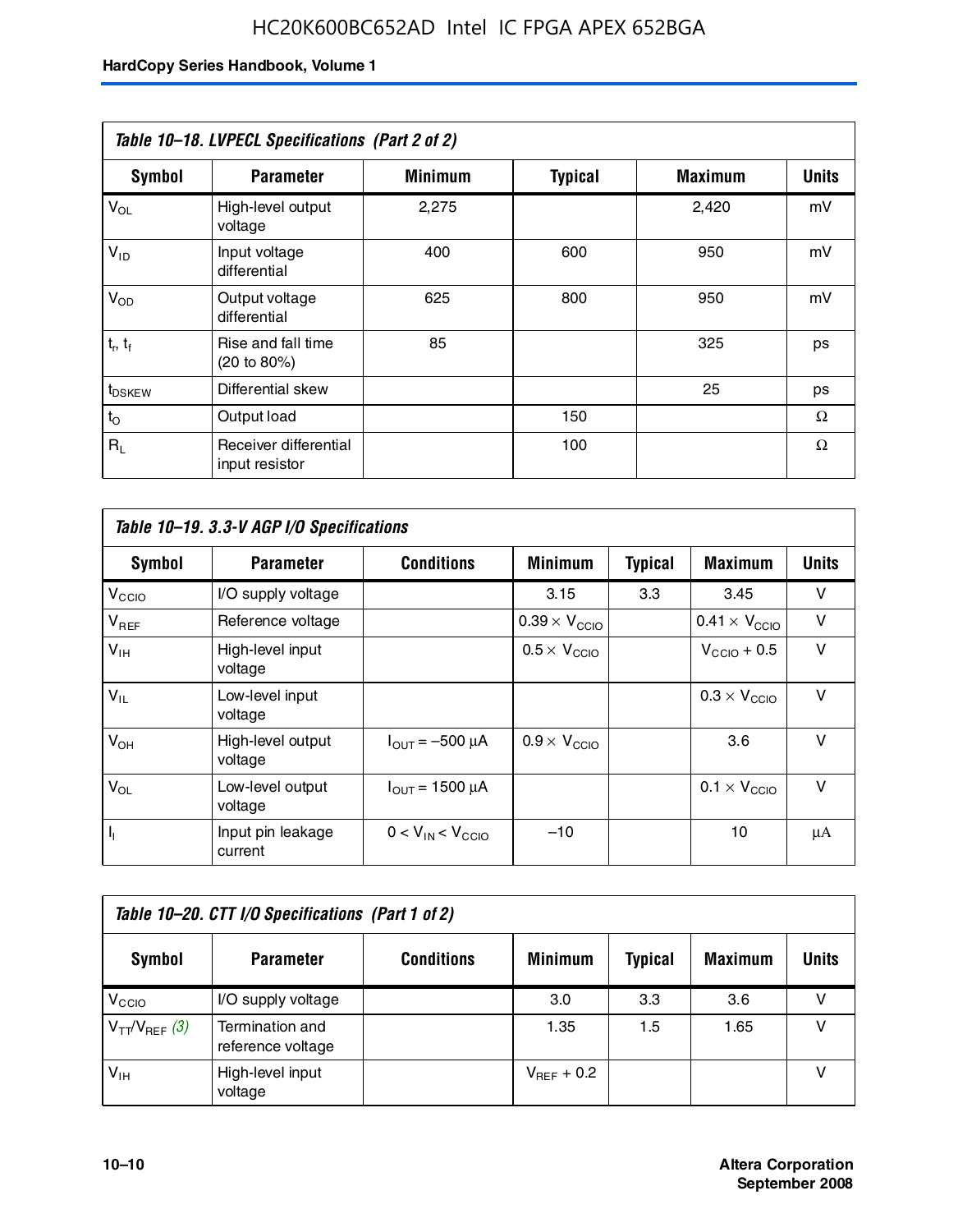| Table 10-18. LVPECL Specifications (Part 2 of 2) |                                         |                |                |                |              |  |  |
|--------------------------------------------------|-----------------------------------------|----------------|----------------|----------------|--------------|--|--|
| Symbol                                           | <b>Parameter</b>                        | <b>Minimum</b> | <b>Typical</b> | <b>Maximum</b> | <b>Units</b> |  |  |
| $V_{OL}$                                         | High-level output<br>voltage            | 2,275          |                | 2,420          | mV           |  |  |
| $V_{ID}$                                         | Input voltage<br>differential           | 400            | 600            | 950            | mV           |  |  |
| $V_{OD}$                                         | Output voltage<br>differential          | 625            | 800            | 950            | mV           |  |  |
| $t_r$ , $t_f$                                    | Rise and fall time<br>(20 to 80%)       | 85             |                | 325            | ps           |  |  |
| t <sub>DSKEW</sub>                               | Differential skew                       |                |                | 25             | ps           |  |  |
| $t_{\rm O}$                                      | Output load                             |                | 150            |                | Ω            |  |  |
| $R_{\rm L}$                                      | Receiver differential<br>input resistor |                | 100            |                | Ω            |  |  |

| Table 10–19. 3.3-V AGP I/O Specifications |                              |                               |                               |                |                               |              |  |
|-------------------------------------------|------------------------------|-------------------------------|-------------------------------|----------------|-------------------------------|--------------|--|
| Symbol                                    | <b>Parameter</b>             | <b>Conditions</b>             | <b>Minimum</b>                | <b>Typical</b> | <b>Maximum</b>                | <b>Units</b> |  |
| V <sub>CCIO</sub>                         | I/O supply voltage           |                               | 3.15                          | 3.3            | 3.45                          | v            |  |
| $V_{REF}$                                 | Reference voltage            |                               | $0.39 \times V_{\text{CCIO}}$ |                | $0.41 \times V_{\text{CCIO}}$ | v            |  |
| $V_{\text{IH}}$                           | High-level input<br>voltage  |                               | $0.5 \times V_{\text{CCIO}}$  |                | $V_{CCD}$ + 0.5               | v            |  |
| $V_{IL}$                                  | Low-level input<br>voltage   |                               |                               |                | $0.3 \times V_{\text{CCIO}}$  | v            |  |
| $V_{OH}$                                  | High-level output<br>voltage | $I_{\text{OUT}} = -500 \mu A$ | $0.9 \times V_{\text{CCIO}}$  |                | 3.6                           | $\vee$       |  |
| $V_{OL}$                                  | Low-level output<br>voltage  | $I_{\text{OUT}} = 1500 \mu A$ |                               |                | $0.1 \times V_{\text{CCIO}}$  | v            |  |
| $I_1$                                     | Input pin leakage<br>current | $0 < V_{IN} < V_{CCIO}$       | $-10$                         |                | 10                            | μA           |  |

| Table 10–20. CTT I/O Specifications (Part 1 of 2) |                                      |                   |                 |                |                |       |  |
|---------------------------------------------------|--------------------------------------|-------------------|-----------------|----------------|----------------|-------|--|
| <b>Symbol</b>                                     | <b>Parameter</b>                     | <b>Conditions</b> | <b>Minimum</b>  | <b>Typical</b> | <b>Maximum</b> | Units |  |
| V <sub>CIO</sub>                                  | I/O supply voltage                   |                   | 3.0             | 3.3            | 3.6            |       |  |
| $V_{TT}/V_{REF}$ (3)                              | Termination and<br>reference voltage |                   | 1.35            | 1.5            | 1.65           |       |  |
| $V_{IH}$                                          | High-level input<br>voltage          |                   | $V_{BFF}$ + 0.2 |                |                |       |  |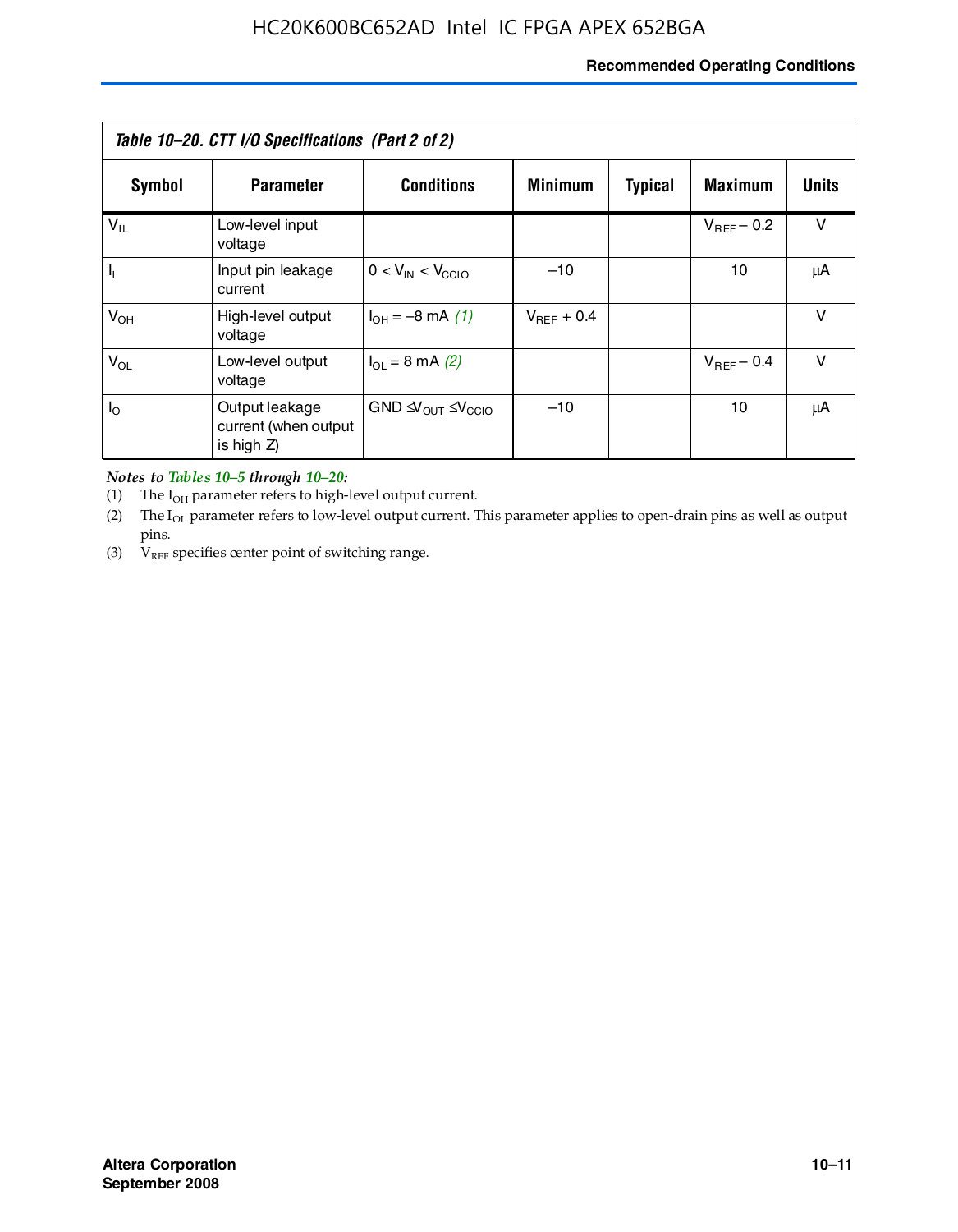#### **Recommended Operating Conditions**

| Table 10–20. CTT I/O Specifications (Part 2 of 2) |                                                      |                                             |                 |                |                 |        |  |
|---------------------------------------------------|------------------------------------------------------|---------------------------------------------|-----------------|----------------|-----------------|--------|--|
| Symbol                                            | <b>Parameter</b>                                     | <b>Conditions</b>                           | <b>Minimum</b>  | <b>Typical</b> | <b>Maximum</b>  | Units  |  |
| $V_{IL}$                                          | Low-level input<br>voltage                           |                                             |                 |                | $V_{BFF}$ – 0.2 | v      |  |
| $\mathbf{I}_{\mathbf{I}}$                         | Input pin leakage<br>current                         | $0 < V_{IN} < V_{CCIO}$                     | $-10$           |                | 10              | μA     |  |
| $V_{OH}$                                          | High-level output<br>voltage                         | $I_{OH} = -8 \text{ mA} (1)$                | $V_{BFF}$ + 0.4 |                |                 | v      |  |
| $V_{OL}$                                          | Low-level output<br>voltage                          | $I_{\Omega}$ = 8 mA (2)                     |                 |                | $V_{BFF}$ – 0.4 | $\vee$ |  |
| $I_{\odot}$                                       | Output leakage<br>current (when output<br>is high Z) | $GND \trianglelefteq V_{OUT} \leq V_{CCIO}$ | $-10$           |                | 10              | μA     |  |

*Notes to Tables 10–5 through 10–20:*

(1) The  $I_{OH}$  parameter refers to high-level output current.

(2) The  $I_{OL}$  parameter refers to low-level output current. This parameter applies to open-drain pins as well as output pins.

(3)  $V_{REF}$  specifies center point of switching range.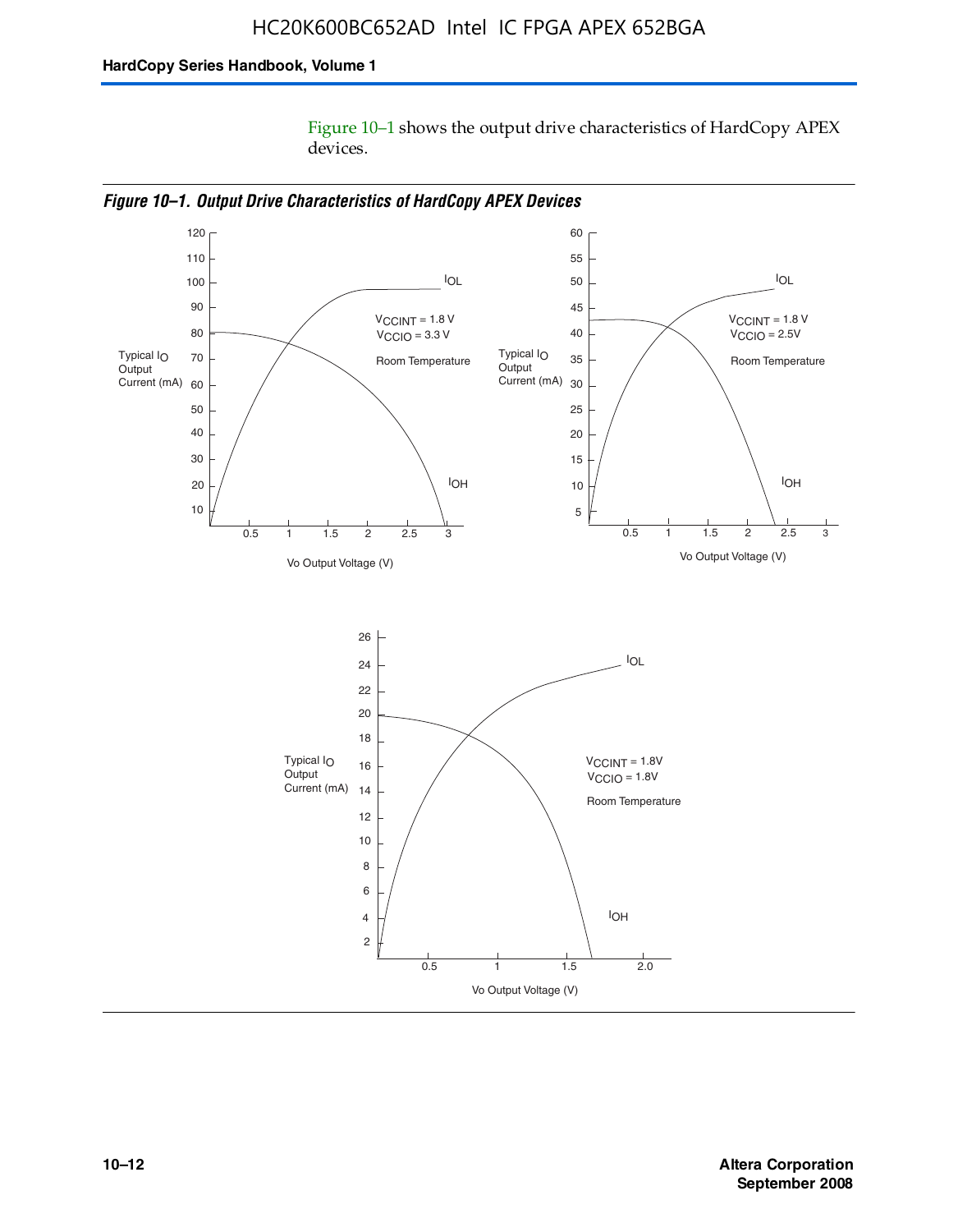Figure 10–1 shows the output drive characteristics of HardCopy APEX devices.



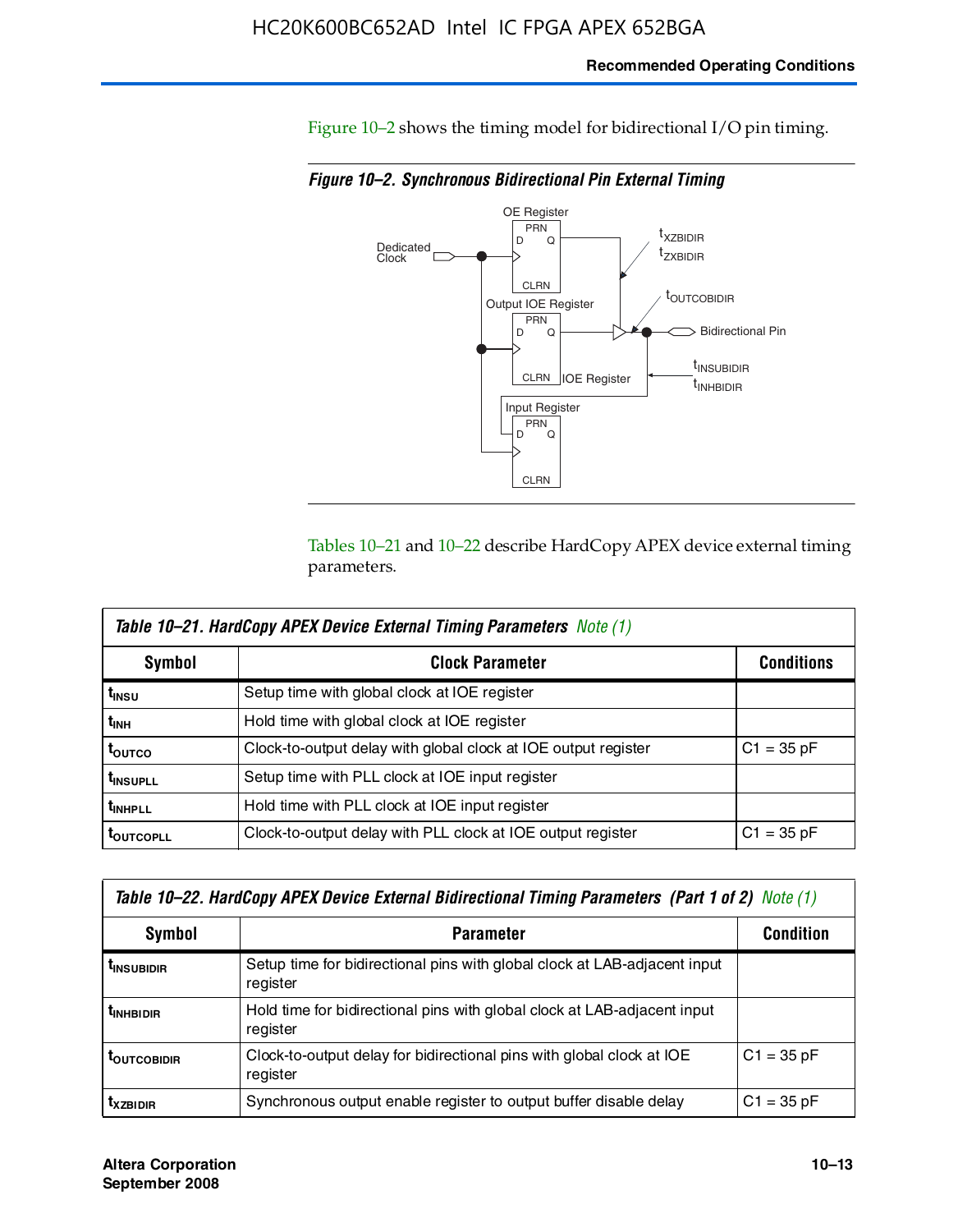Figure 10–2 shows the timing model for bidirectional I/O pin timing.

*Figure 10–2. Synchronous Bidirectional Pin External Timing*



Tables 10–21 and 10–22 describe HardCopy APEX device external timing parameters.

| <b>Table 10–21. HardCopy APEX Device External Timing Parameters Note (1)</b> |                                                                |                   |  |  |  |  |
|------------------------------------------------------------------------------|----------------------------------------------------------------|-------------------|--|--|--|--|
| Symbol                                                                       | <b>Clock Parameter</b>                                         | <b>Conditions</b> |  |  |  |  |
| t <sub>insu</sub>                                                            | Setup time with global clock at IOE register                   |                   |  |  |  |  |
| t <sub>інн</sub>                                                             | Hold time with global clock at IOE register                    |                   |  |  |  |  |
| t <sub>outco</sub>                                                           | Clock-to-output delay with global clock at IOE output register | $C1 = 35 pF$      |  |  |  |  |
| <b>t</b> INSUPLL                                                             | Setup time with PLL clock at IOE input register                |                   |  |  |  |  |
| t <sub>inhpll</sub>                                                          | Hold time with PLL clock at IOE input register                 |                   |  |  |  |  |
| <b>TOUTCOPLL</b>                                                             | Clock-to-output delay with PLL clock at IOE output register    | $C1 = 35 pF$      |  |  |  |  |

| Table 10–22. HardCopy APEX Device External Bidirectional Timing Parameters (Part 1 of 2) Note (1) |                                                                                       |              |  |  |  |  |
|---------------------------------------------------------------------------------------------------|---------------------------------------------------------------------------------------|--------------|--|--|--|--|
| Symbol                                                                                            | <b>Condition</b>                                                                      |              |  |  |  |  |
| <b><i>L</i>INSUBIDIR</b>                                                                          | Setup time for bidirectional pins with global clock at LAB-adjacent input<br>register |              |  |  |  |  |
| <b><i>L</i>INHBIDIR</b>                                                                           | Hold time for bidirectional pins with global clock at LAB-adjacent input<br>register  |              |  |  |  |  |
| <b>LOUTCOBIDIR</b>                                                                                | Clock-to-output delay for bidirectional pins with global clock at IOE<br>register     | $C1 = 35 pF$ |  |  |  |  |
| <b>T</b> x <sub>7BIDIR</sub>                                                                      | Synchronous output enable register to output buffer disable delay                     | $C1 = 35 pF$ |  |  |  |  |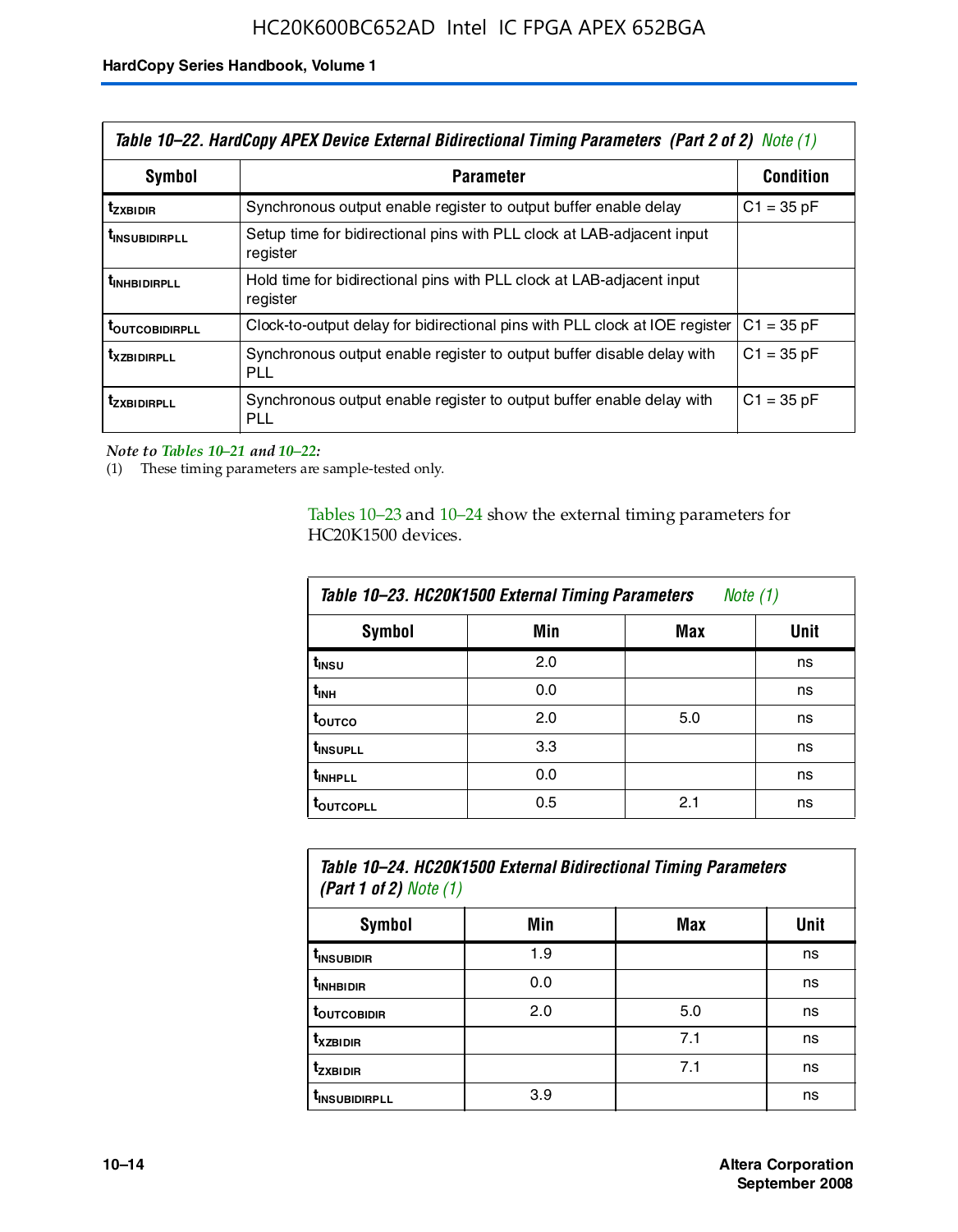| Table 10–22. HardCopy APEX Device External Bidirectional Timing Parameters (Part 2 of 2) Note (1) |                                                                                    |                  |  |  |  |
|---------------------------------------------------------------------------------------------------|------------------------------------------------------------------------------------|------------------|--|--|--|
| Symbol                                                                                            | <b>Parameter</b>                                                                   | <b>Condition</b> |  |  |  |
| t <sub>zxbidir</sub>                                                                              | Synchronous output enable register to output buffer enable delay                   | $C1 = 35 pF$     |  |  |  |
| <b>t</b> insubidirpll                                                                             | Setup time for bidirectional pins with PLL clock at LAB-adiacent input<br>register |                  |  |  |  |
| <b><i>LINHBIDIRPLL</i></b>                                                                        | Hold time for bidirectional pins with PLL clock at LAB-adjacent input<br>register  |                  |  |  |  |
| <b>TOUTCOBIDIRPLL</b>                                                                             | Clock-to-output delay for bidirectional pins with PLL clock at IOE register        | $C1 = 35 pF$     |  |  |  |
| <b>TXZBIDIRPLL</b>                                                                                | Synchronous output enable register to output buffer disable delay with<br>PLL      | $C1 = 35 pF$     |  |  |  |
| <i>t</i> zxbidirpll                                                                               | Synchronous output enable register to output buffer enable delay with<br>PLI.      | $C1 = 35 pF$     |  |  |  |

*Note to Tables 10–21 and 10–22:*

(1) These timing parameters are sample-tested only.

Tables 10–23 and 10–24 show the external timing parameters for HC20K1500 devices.

| Table 10-23. HC20K1500 External Timing Parameters<br>Note (1) |     |     |      |  |
|---------------------------------------------------------------|-----|-----|------|--|
| <b>Symbol</b>                                                 | Min | Max | Unit |  |
| t <sub>INSU</sub>                                             | 2.0 |     | ns   |  |
| $t_{\sf INH}$                                                 | 0.0 |     | ns   |  |
| t <sub>outco</sub>                                            | 2.0 | 5.0 | ns   |  |
| t <sub>INSUPLL</sub>                                          | 3.3 |     | ns   |  |
| t <sub>INHPLL</sub>                                           | 0.0 |     | ns   |  |
| <b>toutcopll</b>                                              | 0.5 | 2.1 | ns   |  |

| Table 10–24. HC20K1500 External Bidirectional Timing Parameters<br>(Part 1 of 2) Note $(1)$ |     |     |      |  |
|---------------------------------------------------------------------------------------------|-----|-----|------|--|
| <b>Symbol</b>                                                                               | Min | Max | Unit |  |
| t <sub>insubidir</sub>                                                                      | 1.9 |     | ns   |  |
| t <sub>inhBidir</sub>                                                                       | 0.0 |     | ns   |  |
|                                                                                             |     |     |      |  |

**t**<sub>OUTCOBIDIR</sub> 2.0 5.0 ns **tXZBIDIR** 7.1 ns **t<sub>zxbidir</sub>** https://www.flood.com/distance/community/community/community/community/community/community/community/ t<sub>INSUBIDIRPLL</sub> 3.9 and 3.9 ns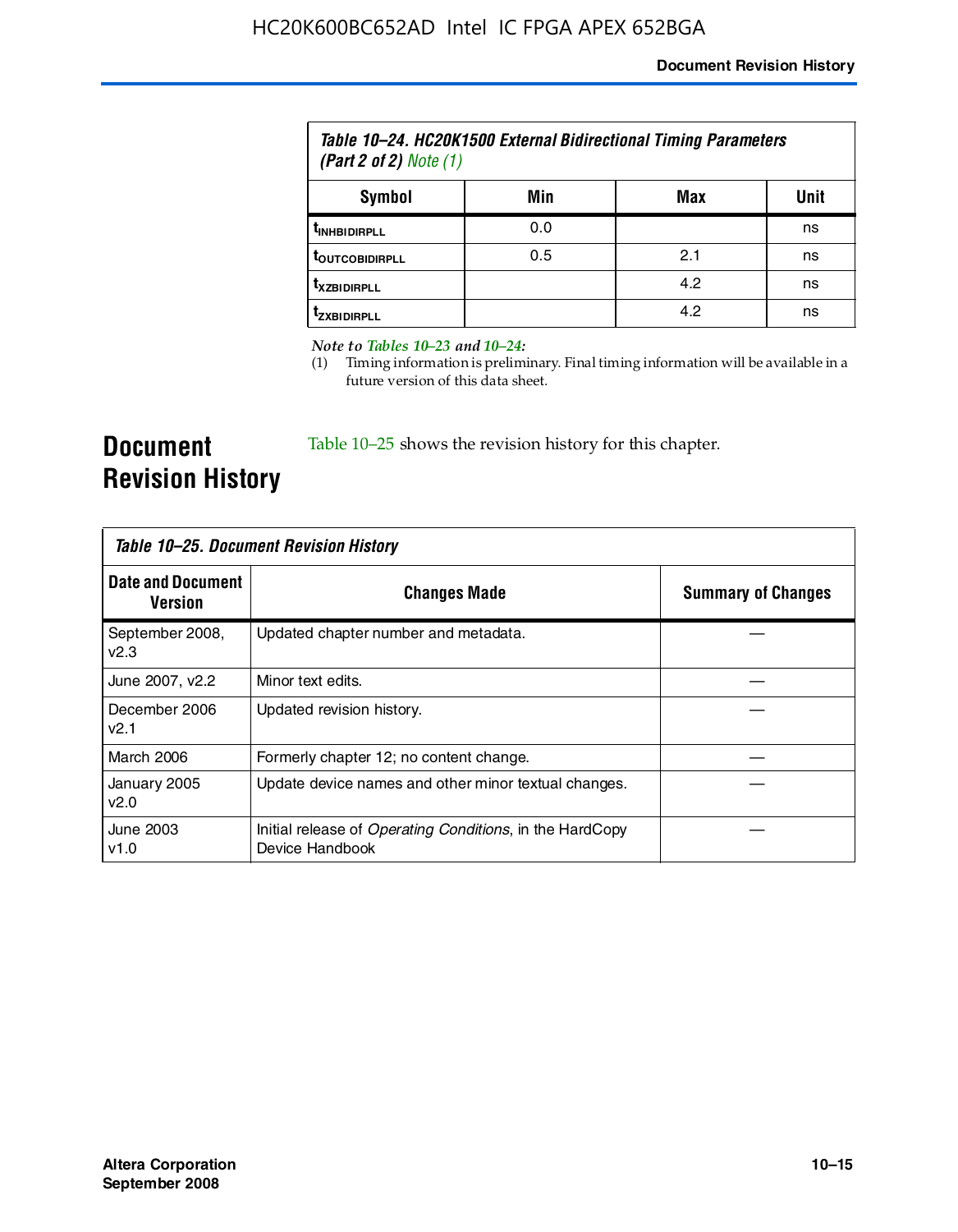| Table 10–24. HC20K1500 External Bidirectional Timing Parameters<br>(Part 2 of 2) $Note (1)$ |     |     |      |
|---------------------------------------------------------------------------------------------|-----|-----|------|
| Symbol                                                                                      | Min | Max | Unit |
| <b><i>UNHBIDIRPLL</i></b>                                                                   | 0.0 |     | ns   |
| <b><i>LOUTCOBIDIRPLL</i></b>                                                                | 0.5 | 2.1 | ns   |
| <i><b>T</b>XZBIDIRPLL</i>                                                                   |     | 4.2 | ns   |
| Izxridirpi i                                                                                |     | 4.2 | ns   |

*Note to Tables 10–23 and 10–24:*

(1) Timing information is preliminary. Final timing information will be available in a future version of this data sheet.

**Document Revision History**

Table 10–25 shows the revision history for this chapter.

| Table 10–25. Document Revision History |                                                                             |                           |  |
|----------------------------------------|-----------------------------------------------------------------------------|---------------------------|--|
| <b>Date and Document</b><br>Version    | <b>Changes Made</b>                                                         | <b>Summary of Changes</b> |  |
| September 2008,<br>v2.3                | Updated chapter number and metadata.                                        |                           |  |
| June 2007, v2.2                        | Minor text edits.                                                           |                           |  |
| December 2006<br>v2.1                  | Updated revision history.                                                   |                           |  |
| March 2006                             | Formerly chapter 12; no content change.                                     |                           |  |
| January 2005<br>v2.0                   | Update device names and other minor textual changes.                        |                           |  |
| June 2003<br>v1.0                      | Initial release of Operating Conditions, in the HardCopy<br>Device Handbook |                           |  |